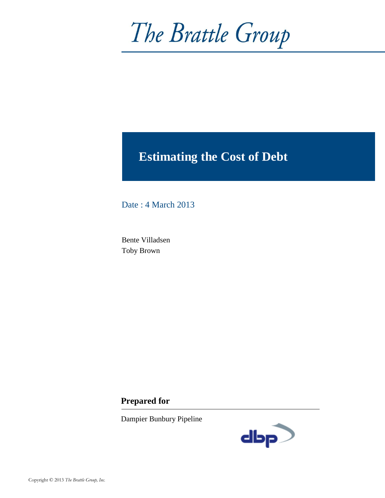# The Brattle Group

# **Estimating the Cost of Debt**

Date : 4 March 2013

Bente Villadsen Toby Brown

# **Prepared for**

Dampier Bunbury Pipeline

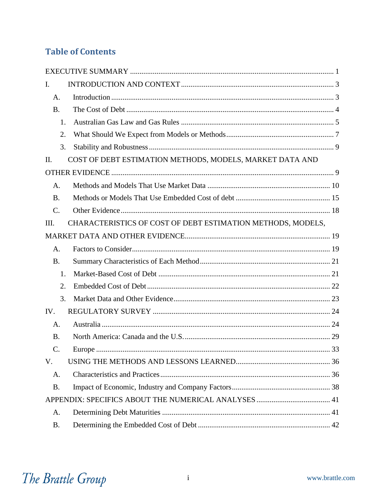# **Table of Contents**

| $\mathbf{I}$ .  |                                                             |  |
|-----------------|-------------------------------------------------------------|--|
| A.              |                                                             |  |
| <b>B.</b>       |                                                             |  |
| 1.              |                                                             |  |
| 2.              |                                                             |  |
| 3.              |                                                             |  |
| П.              | COST OF DEBT ESTIMATION METHODS, MODELS, MARKET DATA AND    |  |
|                 |                                                             |  |
| A.              |                                                             |  |
| <b>B.</b>       |                                                             |  |
| C.              |                                                             |  |
| Ш.              | CHARACTERISTICS OF COST OF DEBT ESTIMATION METHODS, MODELS, |  |
|                 |                                                             |  |
| A.              |                                                             |  |
| <b>B.</b>       |                                                             |  |
| 1.              |                                                             |  |
| 2.              |                                                             |  |
| 3.              |                                                             |  |
| IV.             |                                                             |  |
| A.              |                                                             |  |
| <b>B.</b>       |                                                             |  |
| $\mathcal{C}$ . |                                                             |  |
| V.              |                                                             |  |
| A.              |                                                             |  |
| <b>B.</b>       |                                                             |  |
|                 |                                                             |  |
| A.              |                                                             |  |
| <b>B.</b>       |                                                             |  |

# The Brattle Group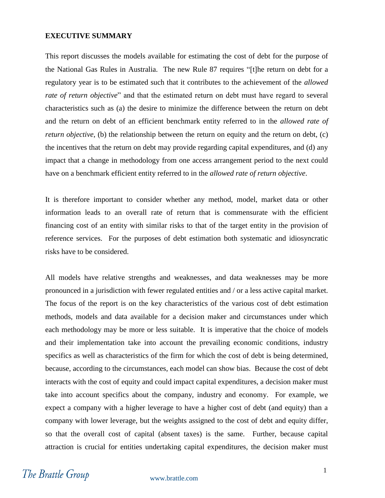#### <span id="page-2-0"></span>**EXECUTIVE SUMMARY**

This report discusses the models available for estimating the cost of debt for the purpose of the National Gas Rules in Australia. The new Rule 87 requires "[t]he return on debt for a regulatory year is to be estimated such that it contributes to the achievement of the *allowed rate of return objective*" and that the estimated return on debt must have regard to several characteristics such as (a) the desire to minimize the difference between the return on debt and the return on debt of an efficient benchmark entity referred to in the *allowed rate of return objective*, (b) the relationship between the return on equity and the return on debt, (c) the incentives that the return on debt may provide regarding capital expenditures, and (d) any impact that a change in methodology from one access arrangement period to the next could have on a benchmark efficient entity referred to in the *allowed rate of return objective*.

It is therefore important to consider whether any method, model, market data or other information leads to an overall rate of return that is commensurate with the efficient financing cost of an entity with similar risks to that of the target entity in the provision of reference services. For the purposes of debt estimation both systematic and idiosyncratic risks have to be considered.

All models have relative strengths and weaknesses, and data weaknesses may be more pronounced in a jurisdiction with fewer regulated entities and / or a less active capital market. The focus of the report is on the key characteristics of the various cost of debt estimation methods, models and data available for a decision maker and circumstances under which each methodology may be more or less suitable. It is imperative that the choice of models and their implementation take into account the prevailing economic conditions, industry specifics as well as characteristics of the firm for which the cost of debt is being determined, because, according to the circumstances, each model can show bias. Because the cost of debt interacts with the cost of equity and could impact capital expenditures, a decision maker must take into account specifics about the company, industry and economy. For example, we expect a company with a higher leverage to have a higher cost of debt (and equity) than a company with lower leverage, but the weights assigned to the cost of debt and equity differ, so that the overall cost of capital (absent taxes) is the same. Further, because capital attraction is crucial for entities undertaking capital expenditures, the decision maker must

# The Brattle Group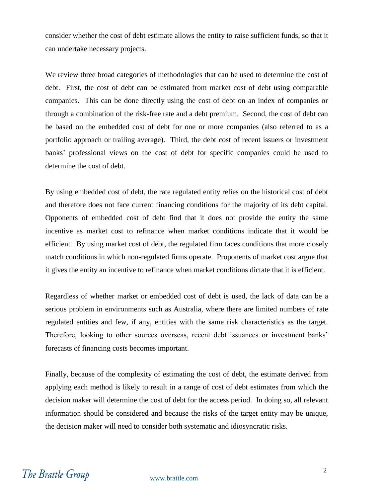consider whether the cost of debt estimate allows the entity to raise sufficient funds, so that it can undertake necessary projects.

We review three broad categories of methodologies that can be used to determine the cost of debt. First, the cost of debt can be estimated from market cost of debt using comparable companies. This can be done directly using the cost of debt on an index of companies or through a combination of the risk-free rate and a debt premium. Second, the cost of debt can be based on the embedded cost of debt for one or more companies (also referred to as a portfolio approach or trailing average). Third, the debt cost of recent issuers or investment banks' professional views on the cost of debt for specific companies could be used to determine the cost of debt.

By using embedded cost of debt, the rate regulated entity relies on the historical cost of debt and therefore does not face current financing conditions for the majority of its debt capital. Opponents of embedded cost of debt find that it does not provide the entity the same incentive as market cost to refinance when market conditions indicate that it would be efficient. By using market cost of debt, the regulated firm faces conditions that more closely match conditions in which non-regulated firms operate. Proponents of market cost argue that it gives the entity an incentive to refinance when market conditions dictate that it is efficient.

Regardless of whether market or embedded cost of debt is used, the lack of data can be a serious problem in environments such as Australia, where there are limited numbers of rate regulated entities and few, if any, entities with the same risk characteristics as the target. Therefore, looking to other sources overseas, recent debt issuances or investment banks' forecasts of financing costs becomes important.

Finally, because of the complexity of estimating the cost of debt, the estimate derived from applying each method is likely to result in a range of cost of debt estimates from which the decision maker will determine the cost of debt for the access period. In doing so, all relevant information should be considered and because the risks of the target entity may be unique, the decision maker will need to consider both systematic and idiosyncratic risks.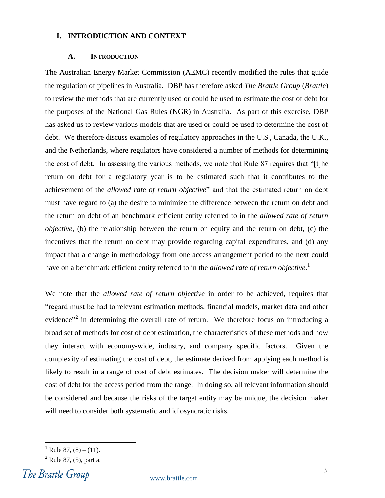#### <span id="page-4-0"></span>**I. INTRODUCTION AND CONTEXT**

#### **A. INTRODUCTION**

<span id="page-4-1"></span>The Australian Energy Market Commission (AEMC) recently modified the rules that guide the regulation of pipelines in Australia. DBP has therefore asked *The Brattle Group* (*Brattle*) to review the methods that are currently used or could be used to estimate the cost of debt for the purposes of the National Gas Rules (NGR) in Australia. As part of this exercise, DBP has asked us to review various models that are used or could be used to determine the cost of debt. We therefore discuss examples of regulatory approaches in the U.S., Canada, the U.K., and the Netherlands, where regulators have considered a number of methods for determining the cost of debt. In assessing the various methods, we note that Rule 87 requires that "[t]he return on debt for a regulatory year is to be estimated such that it contributes to the achievement of the *allowed rate of return objective*" and that the estimated return on debt must have regard to (a) the desire to minimize the difference between the return on debt and the return on debt of an benchmark efficient entity referred to in the *allowed rate of return objective*, (b) the relationship between the return on equity and the return on debt, (c) the incentives that the return on debt may provide regarding capital expenditures, and (d) any impact that a change in methodology from one access arrangement period to the next could have on a benchmark efficient entity referred to in the *allowed rate of return objective*. 1

We note that the *allowed rate of return objective* in order to be achieved, requires that "regard must be had to relevant estimation methods, financial models, market data and other evidence<sup>32</sup> in determining the overall rate of return. We therefore focus on introducing a broad set of methods for cost of debt estimation, the characteristics of these methods and how they interact with economy-wide, industry, and company specific factors. Given the complexity of estimating the cost of debt, the estimate derived from applying each method is likely to result in a range of cost of debt estimates. The decision maker will determine the cost of debt for the access period from the range. In doing so, all relevant information should be considered and because the risks of the target entity may be unique, the decision maker will need to consider both systematic and idiosyncratic risks.

The Brattle Group

<sup>&</sup>lt;sup>1</sup> Rule 87, (8) – (11).

 $^{2}$  Rule 87, (5), part a.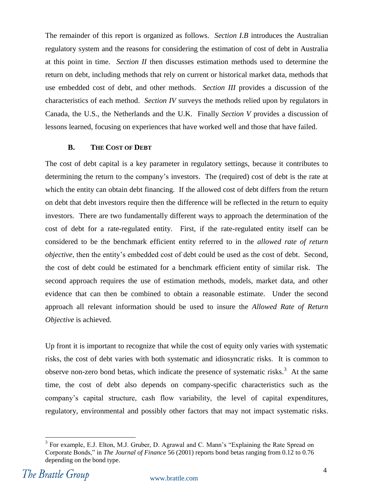The remainder of this report is organized as follows. *Section I.B* introduces the Australian regulatory system and the reasons for considering the estimation of cost of debt in Australia at this point in time. *Section II* then discusses estimation methods used to determine the return on debt, including methods that rely on current or historical market data, methods that use embedded cost of debt, and other methods. *Section III* provides a discussion of the characteristics of each method. *Section IV* surveys the methods relied upon by regulators in Canada, the U.S., the Netherlands and the U.K. Finally *Section V* provides a discussion of lessons learned, focusing on experiences that have worked well and those that have failed.

#### **B. THE COST OF DEBT**

<span id="page-5-0"></span>The cost of debt capital is a key parameter in regulatory settings, because it contributes to determining the return to the company's investors. The (required) cost of debt is the rate at which the entity can obtain debt financing. If the allowed cost of debt differs from the return on debt that debt investors require then the difference will be reflected in the return to equity investors. There are two fundamentally different ways to approach the determination of the cost of debt for a rate-regulated entity. First, if the rate-regulated entity itself can be considered to be the benchmark efficient entity referred to in the *allowed rate of return objective*, then the entity's embedded cost of debt could be used as the cost of debt. Second, the cost of debt could be estimated for a benchmark efficient entity of similar risk. The second approach requires the use of estimation methods, models, market data, and other evidence that can then be combined to obtain a reasonable estimate. Under the second approach all relevant information should be used to insure the *Allowed Rate of Return Objective* is achieved.

Up front it is important to recognize that while the cost of equity only varies with systematic risks, the cost of debt varies with both systematic and idiosyncratic risks. It is common to observe non-zero bond betas, which indicate the presence of systematic risks.<sup>3</sup> At the same time, the cost of debt also depends on company-specific characteristics such as the company's capital structure, cash flow variability, the level of capital expenditures, regulatory, environmental and possibly other factors that may not impact systematic risks.

 $3$  For example, E.J. Elton, M.J. Gruber, D. Agrawal and C. Mann's "Explaining the Rate Spread on Corporate Bonds," in *The Journal of Finance* 56 (2001) reports bond betas ranging from 0.12 to 0.76 depending on the bond type.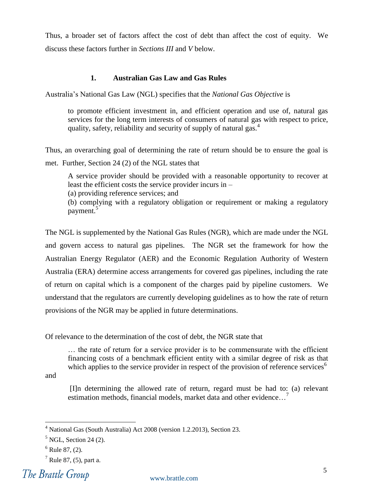Thus, a broader set of factors affect the cost of debt than affect the cost of equity. We discuss these factors further in *Sections III* and *V* below.

#### **1. Australian Gas Law and Gas Rules**

<span id="page-6-0"></span>Australia's National Gas Law (NGL) specifies that the *National Gas Objective* is

to promote efficient investment in, and efficient operation and use of, natural gas services for the long term interests of consumers of natural gas with respect to price, quality, safety, reliability and security of supply of natural gas.<sup>4</sup>

Thus, an overarching goal of determining the rate of return should be to ensure the goal is met. Further, Section 24 (2) of the NGL states that

A service provider should be provided with a reasonable opportunity to recover at least the efficient costs the service provider incurs in –

(a) providing reference services; and

(b) complying with a regulatory obligation or requirement or making a regulatory payment.<sup>5</sup>

The NGL is supplemented by the National Gas Rules (NGR), which are made under the NGL and govern access to natural gas pipelines. The NGR set the framework for how the Australian Energy Regulator (AER) and the Economic Regulation Authority of Western Australia (ERA) determine access arrangements for covered gas pipelines, including the rate of return on capital which is a component of the charges paid by pipeline customers. We understand that the regulators are currently developing guidelines as to how the rate of return provisions of the NGR may be applied in future determinations.

Of relevance to the determination of the cost of debt, the NGR state that

… the rate of return for a service provider is to be commensurate with the efficient financing costs of a benchmark efficient entity with a similar degree of risk as that which applies to the service provider in respect of the provision of reference services<sup>6</sup>

and

 $\overline{a}$ 

[I]n determining the allowed rate of return, regard must be had to: (a) relevant estimation methods, financial models, market data and other evidence...<sup>7</sup>

The Brattle Group

<sup>4</sup> National Gas (South Australia) Act 2008 (version 1.2.2013), Section 23.

 $<sup>5</sup>$  NGL, Section 24 (2).</sup>

 $6$  Rule 87, (2).

 $<sup>7</sup>$  Rule 87, (5), part a.</sup>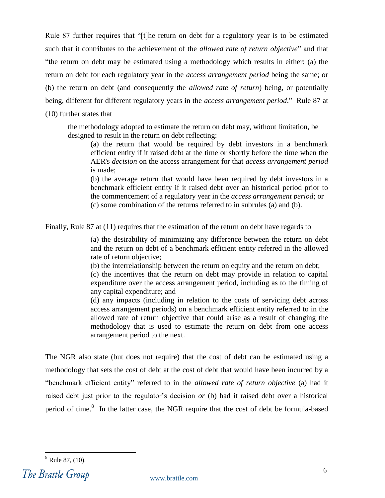Rule 87 further requires that "[t]he return on debt for a regulatory year is to be estimated such that it contributes to the achievement of the *allowed rate of return objective*" and that ―the return on debt may be estimated using a methodology which results in either: (a) the return on debt for each regulatory year in the *access arrangement period* being the same; or (b) the return on debt (and consequently the *allowed rate of return*) being, or potentially being, different for different regulatory years in the *access arrangement period*." Rule 87 at (10) further states that

the methodology adopted to estimate the return on debt may, without limitation, be designed to result in the return on debt reflecting:

(a) the return that would be required by debt investors in a benchmark efficient entity if it raised debt at the time or shortly before the time when the AER's *decision* on the access arrangement for that *access arrangement period* is made;

(b) the average return that would have been required by debt investors in a benchmark efficient entity if it raised debt over an historical period prior to the commencement of a regulatory year in the *access arrangement period*; or (c) some combination of the returns referred to in subrules (a) and (b).

Finally, Rule 87 at (11) requires that the estimation of the return on debt have regards to

(a) the desirability of minimizing any difference between the return on debt and the return on debt of a benchmark efficient entity referred in the allowed rate of return objective;

(b) the interrelationship between the return on equity and the return on debt;

(c) the incentives that the return on debt may provide in relation to capital expenditure over the access arrangement period, including as to the timing of any capital expenditure; and

(d) any impacts (including in relation to the costs of servicing debt across access arrangement periods) on a benchmark efficient entity referred to in the allowed rate of return objective that could arise as a result of changing the methodology that is used to estimate the return on debt from one access arrangement period to the next.

The NGR also state (but does not require) that the cost of debt can be estimated using a methodology that sets the cost of debt at the cost of debt that would have been incurred by a "benchmark efficient entity" referred to in the *allowed rate of return objective* (a) had it raised debt just prior to the regulator's decision *or* (b) had it raised debt over a historical period of time.<sup>8</sup> In the latter case, the NGR require that the cost of debt be formula-based

 $8$  Rule 87,  $(10)$ .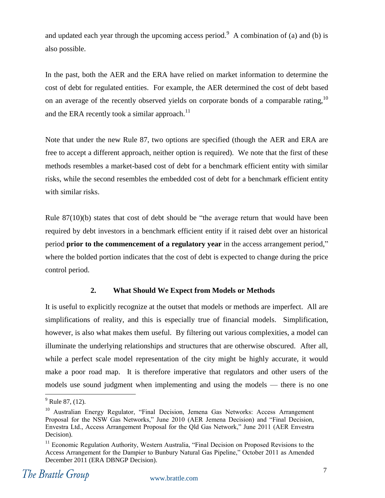and updated each year through the upcoming access period.<sup>9</sup> A combination of (a) and (b) is also possible.

In the past, both the AER and the ERA have relied on market information to determine the cost of debt for regulated entities. For example, the AER determined the cost of debt based on an average of the recently observed yields on corporate bonds of a comparable rating,  $10$ and the ERA recently took a similar approach.<sup>11</sup>

Note that under the new Rule 87, two options are specified (though the AER and ERA are free to accept a different approach, neither option is required). We note that the first of these methods resembles a market-based cost of debt for a benchmark efficient entity with similar risks, while the second resembles the embedded cost of debt for a benchmark efficient entity with similar risks.

Rule  $87(10)(b)$  states that cost of debt should be "the average return that would have been required by debt investors in a benchmark efficient entity if it raised debt over an historical **period prior to the commencement of a regulatory year** in the access arrangement period," where the bolded portion indicates that the cost of debt is expected to change during the price control period.

#### **2. What Should We Expect from Models or Methods**

<span id="page-8-0"></span>It is useful to explicitly recognize at the outset that models or methods are imperfect. All are simplifications of reality, and this is especially true of financial models. Simplification, however, is also what makes them useful. By filtering out various complexities, a model can illuminate the underlying relationships and structures that are otherwise obscured. After all, while a perfect scale model representation of the city might be highly accurate, it would make a poor road map. It is therefore imperative that regulators and other users of the models use sound judgment when implementing and using the models — there is no one

 $<sup>9</sup>$  Rule 87, (12).</sup>

<sup>&</sup>lt;sup>10</sup> Australian Energy Regulator, "Final Decision, Jemena Gas Networks: Access Arrangement Proposal for the NSW Gas Networks," June 2010 (AER Jemena Decision) and "Final Decision, Envestra Ltd., Access Arrangement Proposal for the Qld Gas Network," June 2011 (AER Envestra Decision).

<sup>&</sup>lt;sup>11</sup> Economic Regulation Authority, Western Australia, "Final Decision on Proposed Revisions to the Access Arrangement for the Dampier to Bunbury Natural Gas Pipeline," October 2011 as Amended December 2011 (ERA DBNGP Decision).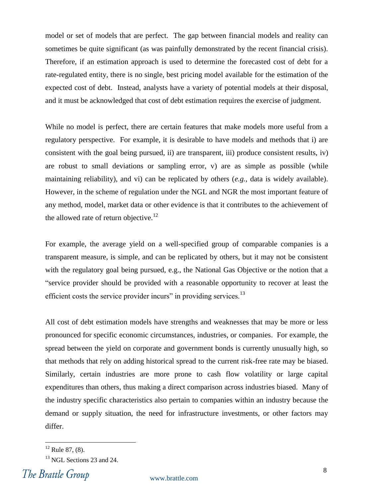model or set of models that are perfect. The gap between financial models and reality can sometimes be quite significant (as was painfully demonstrated by the recent financial crisis). Therefore, if an estimation approach is used to determine the forecasted cost of debt for a rate-regulated entity, there is no single, best pricing model available for the estimation of the expected cost of debt. Instead, analysts have a variety of potential models at their disposal, and it must be acknowledged that cost of debt estimation requires the exercise of judgment.

While no model is perfect, there are certain features that make models more useful from a regulatory perspective. For example, it is desirable to have models and methods that i) are consistent with the goal being pursued, ii) are transparent, iii) produce consistent results, iv) are robust to small deviations or sampling error, v) are as simple as possible (while maintaining reliability), and vi) can be replicated by others (*e.g.,* data is widely available). However, in the scheme of regulation under the NGL and NGR the most important feature of any method, model, market data or other evidence is that it contributes to the achievement of the allowed rate of return objective.<sup>12</sup>

For example, the average yield on a well-specified group of comparable companies is a transparent measure, is simple, and can be replicated by others, but it may not be consistent with the regulatory goal being pursued, e.g., the National Gas Objective or the notion that a ―service provider should be provided with a reasonable opportunity to recover at least the efficient costs the service provider incurs" in providing services. $^{13}$ 

All cost of debt estimation models have strengths and weaknesses that may be more or less pronounced for specific economic circumstances, industries, or companies. For example, the spread between the yield on corporate and government bonds is currently unusually high, so that methods that rely on adding historical spread to the current risk-free rate may be biased. Similarly, certain industries are more prone to cash flow volatility or large capital expenditures than others, thus making a direct comparison across industries biased. Many of the industry specific characteristics also pertain to companies within an industry because the demand or supply situation, the need for infrastructure investments, or other factors may differ.

 $12$  Rule 87, (8).

<sup>&</sup>lt;sup>13</sup> NGL Sections 23 and 24.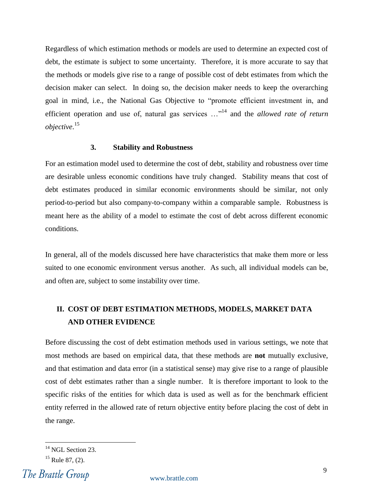Regardless of which estimation methods or models are used to determine an expected cost of debt, the estimate is subject to some uncertainty. Therefore, it is more accurate to say that the methods or models give rise to a range of possible cost of debt estimates from which the decision maker can select. In doing so, the decision maker needs to keep the overarching goal in mind, i.e., the National Gas Objective to "promote efficient investment in, and efficient operation and use of, natural gas services ..."<sup>14</sup> and the *allowed rate of return objective*. 15

#### **3. Stability and Robustness**

<span id="page-10-0"></span>For an estimation model used to determine the cost of debt, stability and robustness over time are desirable unless economic conditions have truly changed. Stability means that cost of debt estimates produced in similar economic environments should be similar, not only period-to-period but also company-to-company within a comparable sample. Robustness is meant here as the ability of a model to estimate the cost of debt across different economic conditions.

In general, all of the models discussed here have characteristics that make them more or less suited to one economic environment versus another. As such, all individual models can be, and often are, subject to some instability over time.

### <span id="page-10-1"></span>**II. COST OF DEBT ESTIMATION METHODS, MODELS, MARKET DATA AND OTHER EVIDENCE**

Before discussing the cost of debt estimation methods used in various settings, we note that most methods are based on empirical data, that these methods are **not** mutually exclusive, and that estimation and data error (in a statistical sense) may give rise to a range of plausible cost of debt estimates rather than a single number. It is therefore important to look to the specific risks of the entities for which data is used as well as for the benchmark efficient entity referred in the allowed rate of return objective entity before placing the cost of debt in the range.

<sup>&</sup>lt;sup>14</sup> NGL Section 23.

 $15$  Rule 87, (2).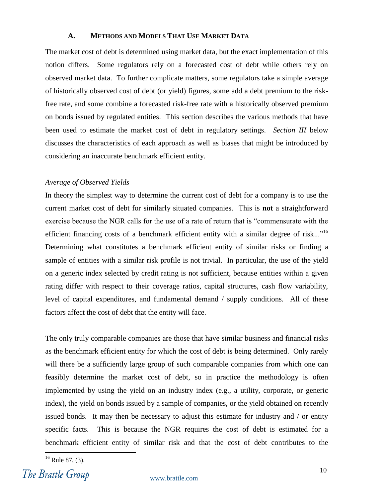#### **A. METHODS AND MODELS THAT USE MARKET DATA**

<span id="page-11-0"></span>The market cost of debt is determined using market data, but the exact implementation of this notion differs. Some regulators rely on a forecasted cost of debt while others rely on observed market data. To further complicate matters, some regulators take a simple average of historically observed cost of debt (or yield) figures, some add a debt premium to the riskfree rate, and some combine a forecasted risk-free rate with a historically observed premium on bonds issued by regulated entities. This section describes the various methods that have been used to estimate the market cost of debt in regulatory settings. *Section III* below discusses the characteristics of each approach as well as biases that might be introduced by considering an inaccurate benchmark efficient entity.

#### *Average of Observed Yields*

In theory the simplest way to determine the current cost of debt for a company is to use the current market cost of debt for similarly situated companies. This is **not** a straightforward exercise because the NGR calls for the use of a rate of return that is "commensurate with the efficient financing costs of a benchmark efficient entity with a similar degree of risk..."<sup>16</sup> Determining what constitutes a benchmark efficient entity of similar risks or finding a sample of entities with a similar risk profile is not trivial. In particular, the use of the yield on a generic index selected by credit rating is not sufficient, because entities within a given rating differ with respect to their coverage ratios, capital structures, cash flow variability, level of capital expenditures, and fundamental demand / supply conditions. All of these factors affect the cost of debt that the entity will face.

The only truly comparable companies are those that have similar business and financial risks as the benchmark efficient entity for which the cost of debt is being determined. Only rarely will there be a sufficiently large group of such comparable companies from which one can feasibly determine the market cost of debt, so in practice the methodology is often implemented by using the yield on an industry index (e.g., a utility, corporate, or generic index), the yield on bonds issued by a sample of companies, or the yield obtained on recently issued bonds. It may then be necessary to adjust this estimate for industry and / or entity specific facts. This is because the NGR requires the cost of debt is estimated for a benchmark efficient entity of similar risk and that the cost of debt contributes to the

 $16$  Rule 87, (3).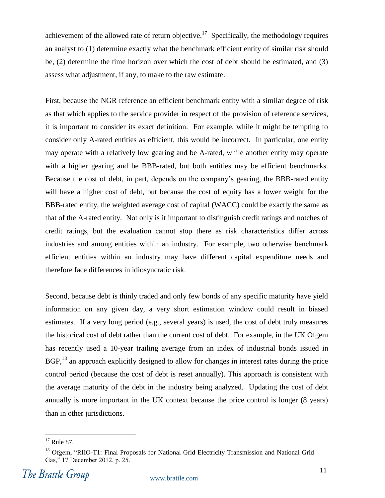achievement of the allowed rate of return objective.<sup>17</sup> Specifically, the methodology requires an analyst to (1) determine exactly what the benchmark efficient entity of similar risk should be, (2) determine the time horizon over which the cost of debt should be estimated, and (3) assess what adjustment, if any, to make to the raw estimate.

First, because the NGR reference an efficient benchmark entity with a similar degree of risk as that which applies to the service provider in respect of the provision of reference services, it is important to consider its exact definition. For example, while it might be tempting to consider only A-rated entities as efficient, this would be incorrect. In particular, one entity may operate with a relatively low gearing and be A-rated, while another entity may operate with a higher gearing and be BBB-rated, but both entities may be efficient benchmarks. Because the cost of debt, in part, depends on the company's gearing, the BBB-rated entity will have a higher cost of debt, but because the cost of equity has a lower weight for the BBB-rated entity, the weighted average cost of capital (WACC) could be exactly the same as that of the A-rated entity. Not only is it important to distinguish credit ratings and notches of credit ratings, but the evaluation cannot stop there as risk characteristics differ across industries and among entities within an industry. For example, two otherwise benchmark efficient entities within an industry may have different capital expenditure needs and therefore face differences in idiosyncratic risk.

Second, because debt is thinly traded and only few bonds of any specific maturity have yield information on any given day, a very short estimation window could result in biased estimates. If a very long period (e.g., several years) is used, the cost of debt truly measures the historical cost of debt rather than the current cost of debt. For example, in the UK Ofgem has recently used a 10-year trailing average from an index of industrial bonds issued in BGP,<sup>18</sup> an approach explicitly designed to allow for changes in interest rates during the price control period (because the cost of debt is reset annually). This approach is consistent with the average maturity of the debt in the industry being analyzed. Updating the cost of debt annually is more important in the UK context because the price control is longer (8 years) than in other jurisdictions.

 $17$  Rule 87.

<sup>&</sup>lt;sup>18</sup> Ofgem, "RIIO-T1: Final Proposals for National Grid Electricity Transmission and National Grid Gas," 17 December 2012, p. 25.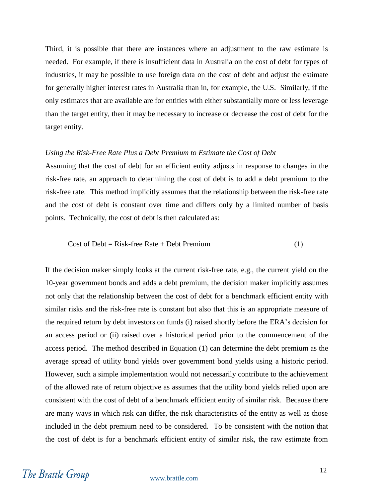Third, it is possible that there are instances where an adjustment to the raw estimate is needed. For example, if there is insufficient data in Australia on the cost of debt for types of industries, it may be possible to use foreign data on the cost of debt and adjust the estimate for generally higher interest rates in Australia than in, for example, the U.S. Similarly, if the only estimates that are available are for entities with either substantially more or less leverage than the target entity, then it may be necessary to increase or decrease the cost of debt for the target entity.

#### *Using the Risk-Free Rate Plus a Debt Premium to Estimate the Cost of Debt*

Assuming that the cost of debt for an efficient entity adjusts in response to changes in the risk-free rate, an approach to determining the cost of debt is to add a debt premium to the risk-free rate. This method implicitly assumes that the relationship between the risk-free rate and the cost of debt is constant over time and differs only by a limited number of basis points. Technically, the cost of debt is then calculated as:

$$
Cost of Debt = Risk-free Rate + Debt Premium
$$
 (1)

If the decision maker simply looks at the current risk-free rate, e.g., the current yield on the 10-year government bonds and adds a debt premium, the decision maker implicitly assumes not only that the relationship between the cost of debt for a benchmark efficient entity with similar risks and the risk-free rate is constant but also that this is an appropriate measure of the required return by debt investors on funds (i) raised shortly before the ERA's decision for an access period or (ii) raised over a historical period prior to the commencement of the access period. The method described in Equation (1) can determine the debt premium as the average spread of utility bond yields over government bond yields using a historic period. However, such a simple implementation would not necessarily contribute to the achievement of the allowed rate of return objective as assumes that the utility bond yields relied upon are consistent with the cost of debt of a benchmark efficient entity of similar risk. Because there are many ways in which risk can differ, the risk characteristics of the entity as well as those included in the debt premium need to be considered. To be consistent with the notion that the cost of debt is for a benchmark efficient entity of similar risk, the raw estimate from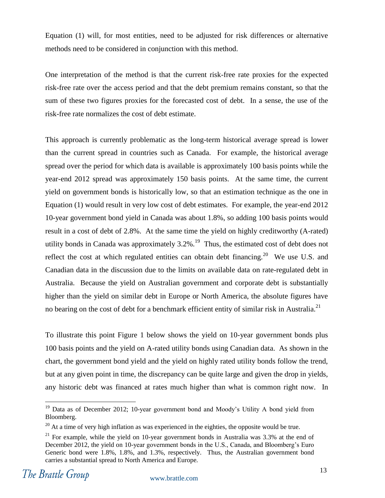Equation (1) will, for most entities, need to be adjusted for risk differences or alternative methods need to be considered in conjunction with this method.

One interpretation of the method is that the current risk-free rate proxies for the expected risk-free rate over the access period and that the debt premium remains constant, so that the sum of these two figures proxies for the forecasted cost of debt. In a sense, the use of the risk-free rate normalizes the cost of debt estimate.

This approach is currently problematic as the long-term historical average spread is lower than the current spread in countries such as Canada. For example, the historical average spread over the period for which data is available is approximately 100 basis points while the year-end 2012 spread was approximately 150 basis points. At the same time, the current yield on government bonds is historically low, so that an estimation technique as the one in Equation (1) would result in very low cost of debt estimates. For example, the year-end 2012 10-year government bond yield in Canada was about 1.8%, so adding 100 basis points would result in a cost of debt of 2.8%. At the same time the yield on highly creditworthy (A-rated) utility bonds in Canada was approximately  $3.2\%$ .<sup>19</sup> Thus, the estimated cost of debt does not reflect the cost at which regulated entities can obtain debt financing.<sup>20</sup> We use U.S. and Canadian data in the discussion due to the limits on available data on rate-regulated debt in Australia. Because the yield on Australian government and corporate debt is substantially higher than the yield on similar debt in Europe or North America, the absolute figures have no bearing on the cost of debt for a benchmark efficient entity of similar risk in Australia.<sup>21</sup>

To illustrate this point [Figure 1](#page-15-0) below shows the yield on 10-year government bonds plus 100 basis points and the yield on A-rated utility bonds using Canadian data. As shown in the chart, the government bond yield and the yield on highly rated utility bonds follow the trend, but at any given point in time, the discrepancy can be quite large and given the drop in yields, any historic debt was financed at rates much higher than what is common right now. In

<sup>&</sup>lt;sup>19</sup> Data as of December 2012; 10-year government bond and Moody's Utility A bond yield from Bloomberg.

 $20$  At a time of very high inflation as was experienced in the eighties, the opposite would be true.

 $21$  For example, while the yield on 10-year government bonds in Australia was 3.3% at the end of December 2012, the yield on 10-year government bonds in the U.S., Canada, and Bloomberg's Euro Generic bond were 1.8%, 1.8%, and 1.3%, respectively. Thus, the Australian government bond carries a substantial spread to North America and Europe.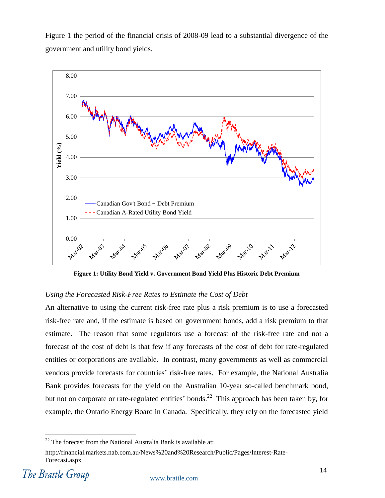[Figure 1](#page-15-0) the period of the financial crisis of 2008-09 lead to a substantial divergence of the government and utility bond yields.



**Figure 1: Utility Bond Yield v. Government Bond Yield Plus Historic Debt Premium**

#### <span id="page-15-0"></span>*Using the Forecasted Risk-Free Rates to Estimate the Cost of Debt*

An alternative to using the current risk-free rate plus a risk premium is to use a forecasted risk-free rate and, if the estimate is based on government bonds, add a risk premium to that estimate. The reason that some regulators use a forecast of the risk-free rate and not a forecast of the cost of debt is that few if any forecasts of the cost of debt for rate-regulated entities or corporations are available. In contrast, many governments as well as commercial vendors provide forecasts for countries' risk-free rates. For example, the National Australia Bank provides forecasts for the yield on the Australian 10-year so-called benchmark bond, but not on corporate or rate-regulated entities' bonds.<sup>22</sup> This approach has been taken by, for example, the Ontario Energy Board in Canada. Specifically, they rely on the forecasted yield

 $22$  The forecast from the National Australia Bank is available at:

http://financial.markets.nab.com.au/News%20and%20Research/Public/Pages/Interest-Rate-Forecast.aspx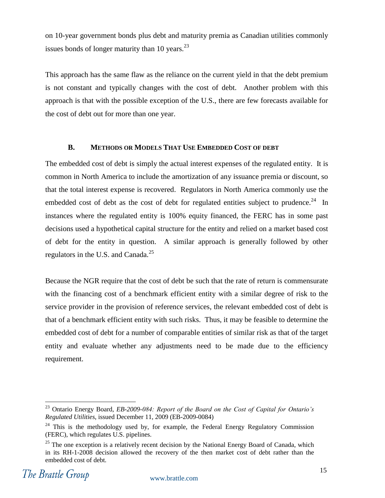on 10-year government bonds plus debt and maturity premia as Canadian utilities commonly issues bonds of longer maturity than 10 years. $^{23}$ 

This approach has the same flaw as the reliance on the current yield in that the debt premium is not constant and typically changes with the cost of debt. Another problem with this approach is that with the possible exception of the U.S., there are few forecasts available for the cost of debt out for more than one year.

#### **B. METHODS OR MODELS THAT USE EMBEDDED COST OF DEBT**

<span id="page-16-0"></span>The embedded cost of debt is simply the actual interest expenses of the regulated entity. It is common in North America to include the amortization of any issuance premia or discount, so that the total interest expense is recovered. Regulators in North America commonly use the embedded cost of debt as the cost of debt for regulated entities subject to prudence.<sup>24</sup> In instances where the regulated entity is 100% equity financed, the FERC has in some past decisions used a hypothetical capital structure for the entity and relied on a market based cost of debt for the entity in question. A similar approach is generally followed by other regulators in the U.S. and Canada. $^{25}$ 

Because the NGR require that the cost of debt be such that the rate of return is commensurate with the financing cost of a benchmark efficient entity with a similar degree of risk to the service provider in the provision of reference services, the relevant embedded cost of debt is that of a benchmark efficient entity with such risks. Thus, it may be feasible to determine the embedded cost of debt for a number of comparable entities of similar risk as that of the target entity and evaluate whether any adjustments need to be made due to the efficiency requirement.

<sup>23</sup> Ontario Energy Board, *EB-2009-084: Report of the Board on the Cost of Capital for Ontario's Regulated Utilities*, issued December 11, 2009 (EB-2009-0084)

<sup>&</sup>lt;sup>24</sup> This is the methodology used by, for example, the Federal Energy Regulatory Commission (FERC), which regulates U.S. pipelines.

<sup>&</sup>lt;sup>25</sup> The one exception is a relatively recent decision by the National Energy Board of Canada, which in its RH-1-2008 decision allowed the recovery of the then market cost of debt rather than the embedded cost of debt.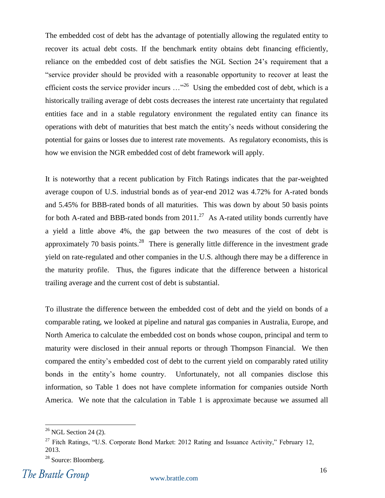The embedded cost of debt has the advantage of potentially allowing the regulated entity to recover its actual debt costs. If the benchmark entity obtains debt financing efficiently, reliance on the embedded cost of debt satisfies the NGL Section 24's requirement that a ―service provider should be provided with a reasonable opportunity to recover at least the efficient costs the service provider incurs  $\ldots$ <sup>26</sup> Using the embedded cost of debt, which is a historically trailing average of debt costs decreases the interest rate uncertainty that regulated entities face and in a stable regulatory environment the regulated entity can finance its operations with debt of maturities that best match the entity's needs without considering the potential for gains or losses due to interest rate movements. As regulatory economists, this is how we envision the NGR embedded cost of debt framework will apply.

It is noteworthy that a recent publication by Fitch Ratings indicates that the par-weighted average coupon of U.S. industrial bonds as of year-end 2012 was 4.72% for A-rated bonds and 5.45% for BBB-rated bonds of all maturities. This was down by about 50 basis points for both A-rated and BBB-rated bonds from  $2011.^{27}$  As A-rated utility bonds currently have a yield a little above 4%, the gap between the two measures of the cost of debt is approximately 70 basis points.<sup>28</sup> There is generally little difference in the investment grade yield on rate-regulated and other companies in the U.S. although there may be a difference in the maturity profile. Thus, the figures indicate that the difference between a historical trailing average and the current cost of debt is substantial.

To illustrate the difference between the embedded cost of debt and the yield on bonds of a comparable rating, we looked at pipeline and natural gas companies in Australia, Europe, and North America to calculate the embedded cost on bonds whose coupon, principal and term to maturity were disclosed in their annual reports or through Thompson Financial. We then compared the entity's embedded cost of debt to the current yield on comparably rated utility bonds in the entity's home country. Unfortunately, not all companies disclose this information, so [Table 1](#page-18-0) does not have complete information for companies outside North America. We note that the calculation in [Table 1](#page-18-0) is approximate because we assumed all

 $26$  NGL Section 24 (2).

<sup>&</sup>lt;sup>27</sup> Fitch Ratings, "U.S. Corporate Bond Market: 2012 Rating and Issuance Activity," February 12, 2013.

<sup>&</sup>lt;sup>28</sup> Source: Bloomberg.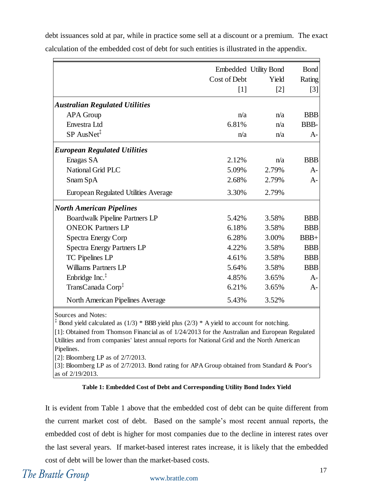|                                              | Cost of Debt<br>$\lceil 1 \rceil$ | Embedded Utility Bond<br>Yield<br>$\lceil 2 \rceil$ | <b>Bond</b><br>Rating<br>$\lceil 3 \rceil$ |
|----------------------------------------------|-----------------------------------|-----------------------------------------------------|--------------------------------------------|
| <b>Australian Regulated Utilities</b>        |                                   |                                                     |                                            |
| <b>APA</b> Group                             | n/a                               | n/a                                                 | <b>BBB</b>                                 |
| Envestra Ltd                                 | 6.81%                             | n/a                                                 | BBB-                                       |
| $SP$ AusNet <sup><math>\ddagger</math></sup> | n/a                               | n/a                                                 | $A-$                                       |
| <b>European Regulated Utilities</b>          |                                   |                                                     |                                            |
| Enagas SA                                    | 2.12%                             | n/a                                                 | <b>BBB</b>                                 |
| National Grid PLC                            | 5.09%                             | 2.79%                                               | $A-$                                       |
| Snam SpA                                     | 2.68%                             | 2.79%                                               | $A-$                                       |
| <b>European Regulated Utilities Average</b>  | 3.30%                             | 2.79%                                               |                                            |
| <b>North American Pipelines</b>              |                                   |                                                     |                                            |
| <b>Boardwalk Pipeline Partners LP</b>        | 5.42%                             | 3.58%                                               | <b>BBB</b>                                 |
| <b>ONEOK Partners LP</b>                     | 6.18%                             | 3.58%                                               | <b>BBB</b>                                 |
| Spectra Energy Corp                          | 6.28%                             | 3.00%                                               | $BBB+$                                     |
| <b>Spectra Energy Partners LP</b>            | 4.22%                             | 3.58%                                               | <b>BBB</b>                                 |
| TC Pipelines LP                              | 4.61%                             | 3.58%                                               | <b>BBB</b>                                 |
| <b>Williams Partners LP</b>                  | 5.64%                             | 3.58%                                               | <b>BBB</b>                                 |
| Enbridge Inc. <sup>‡</sup>                   | 4.85%                             | 3.65%                                               | $A-$                                       |
| TransCanada Corp <sup>‡</sup>                | 6.21%                             | 3.65%                                               | $A-$                                       |
| North American Pipelines Average             | 5.43%                             | 3.52%                                               |                                            |

debt issuances sold at par, while in practice some sell at a discount or a premium. The exact calculation of the embedded cost of debt for such entities is illustrated in the appendix.

Sources and Notes:

<sup>‡</sup> Bond yield calculated as  $(1/3)$  \* BBB yield plus  $(2/3)$  \* A yield to account for notching.

[1]: Obtained from Thomson Financial as of  $1/24/2013$  for the Australian and European Regulated Utilities and from companies' latest annual reports for National Grid and the North American Pipelines.

[2]: Bloomberg LP as of 2/7/2013.

[3]: Bloomberg LP as of  $2/7/2013$ . Bond rating for APA Group obtained from Standard & Poor's as of 2/19/2013.

#### **Table 1: Embedded Cost of Debt and Corresponding Utility Bond Index Yield**

<span id="page-18-0"></span>It is evident from [Table 1](#page-18-0) above that the embedded cost of debt can be quite different from the current market cost of debt. Based on the sample's most recent annual reports, the embedded cost of debt is higher for most companies due to the decline in interest rates over the last several years. If market-based interest rates increase, it is likely that the embedded cost of debt will be lower than the market-based costs.

The Brattle Group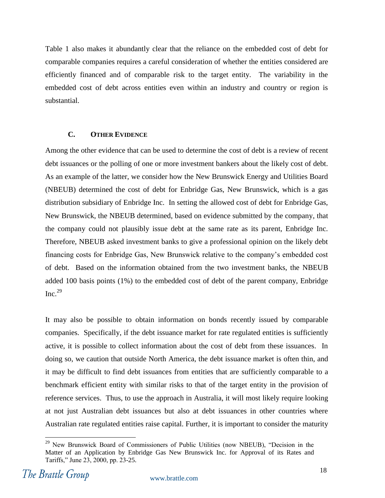[Table 1](#page-18-0) also makes it abundantly clear that the reliance on the embedded cost of debt for comparable companies requires a careful consideration of whether the entities considered are efficiently financed and of comparable risk to the target entity. The variability in the embedded cost of debt across entities even within an industry and country or region is substantial.

#### **C. OTHER EVIDENCE**

<span id="page-19-0"></span>Among the other evidence that can be used to determine the cost of debt is a review of recent debt issuances or the polling of one or more investment bankers about the likely cost of debt. As an example of the latter, we consider how the New Brunswick Energy and Utilities Board (NBEUB) determined the cost of debt for Enbridge Gas, New Brunswick, which is a gas distribution subsidiary of Enbridge Inc. In setting the allowed cost of debt for Enbridge Gas, New Brunswick, the NBEUB determined, based on evidence submitted by the company, that the company could not plausibly issue debt at the same rate as its parent, Enbridge Inc. Therefore, NBEUB asked investment banks to give a professional opinion on the likely debt financing costs for Enbridge Gas, New Brunswick relative to the company's embedded cost of debt. Based on the information obtained from the two investment banks, the NBEUB added 100 basis points (1%) to the embedded cost of debt of the parent company, Enbridge  $Inc.<sup>29</sup>$ 

It may also be possible to obtain information on bonds recently issued by comparable companies. Specifically, if the debt issuance market for rate regulated entities is sufficiently active, it is possible to collect information about the cost of debt from these issuances. In doing so, we caution that outside North America, the debt issuance market is often thin, and it may be difficult to find debt issuances from entities that are sufficiently comparable to a benchmark efficient entity with similar risks to that of the target entity in the provision of reference services. Thus, to use the approach in Australia, it will most likely require looking at not just Australian debt issuances but also at debt issuances in other countries where Australian rate regulated entities raise capital. Further, it is important to consider the maturity

 $29$  New Brunswick Board of Commissioners of Public Utilities (now NBEUB), "Decision in the Matter of an Application by Enbridge Gas New Brunswick Inc. for Approval of its Rates and Tariffs," June 23, 2000, pp. 23-25.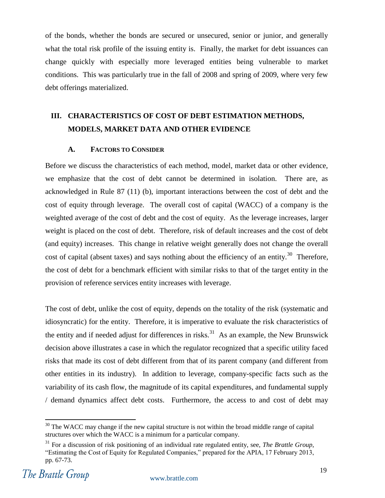of the bonds, whether the bonds are secured or unsecured, senior or junior, and generally what the total risk profile of the issuing entity is. Finally, the market for debt issuances can change quickly with especially more leveraged entities being vulnerable to market conditions. This was particularly true in the fall of 2008 and spring of 2009, where very few debt offerings materialized.

# <span id="page-20-0"></span>**III. CHARACTERISTICS OF COST OF DEBT ESTIMATION METHODS, MODELS, MARKET DATA AND OTHER EVIDENCE**

#### **A. FACTORS TO CONSIDER**

<span id="page-20-1"></span>Before we discuss the characteristics of each method, model, market data or other evidence, we emphasize that the cost of debt cannot be determined in isolation. There are, as acknowledged in Rule 87 (11) (b), important interactions between the cost of debt and the cost of equity through leverage. The overall cost of capital (WACC) of a company is the weighted average of the cost of debt and the cost of equity. As the leverage increases, larger weight is placed on the cost of debt. Therefore, risk of default increases and the cost of debt (and equity) increases. This change in relative weight generally does not change the overall cost of capital (absent taxes) and says nothing about the efficiency of an entity.<sup>30</sup> Therefore, the cost of debt for a benchmark efficient with similar risks to that of the target entity in the provision of reference services entity increases with leverage.

The cost of debt, unlike the cost of equity, depends on the totality of the risk (systematic and idiosyncratic) for the entity. Therefore, it is imperative to evaluate the risk characteristics of the entity and if needed adjust for differences in risks.<sup>31</sup> As an example, the New Brunswick decision above illustrates a case in which the regulator recognized that a specific utility faced risks that made its cost of debt different from that of its parent company (and different from other entities in its industry). In addition to leverage, company-specific facts such as the variability of its cash flow, the magnitude of its capital expenditures, and fundamental supply / demand dynamics affect debt costs. Furthermore, the access to and cost of debt may

 $30$  The WACC may change if the new capital structure is not within the broad middle range of capital structures over which the WACC is a minimum for a particular company.

<sup>31</sup> For a discussion of risk positioning of an individual rate regulated entity, see, *The Brattle Group*, ―Estimating the Cost of Equity for Regulated Companies,‖ prepared for the APIA, 17 February 2013, pp. 67-73.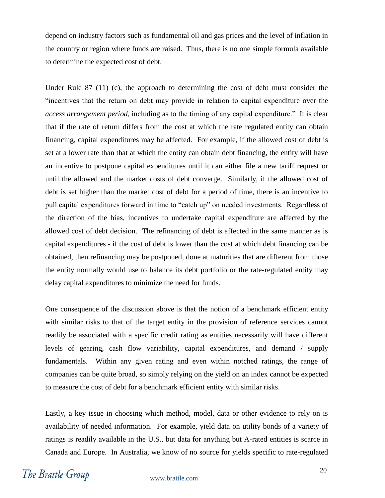depend on industry factors such as fundamental oil and gas prices and the level of inflation in the country or region where funds are raised. Thus, there is no one simple formula available to determine the expected cost of debt.

Under Rule 87 (11) (c), the approach to determining the cost of debt must consider the ―incentives that the return on debt may provide in relation to capital expenditure over the *access arrangement period*, including as to the timing of any capital expenditure." It is clear that if the rate of return differs from the cost at which the rate regulated entity can obtain financing, capital expenditures may be affected. For example, if the allowed cost of debt is set at a lower rate than that at which the entity can obtain debt financing, the entity will have an incentive to postpone capital expenditures until it can either file a new tariff request or until the allowed and the market costs of debt converge. Similarly, if the allowed cost of debt is set higher than the market cost of debt for a period of time, there is an incentive to pull capital expenditures forward in time to "catch up" on needed investments. Regardless of the direction of the bias, incentives to undertake capital expenditure are affected by the allowed cost of debt decision. The refinancing of debt is affected in the same manner as is capital expenditures - if the cost of debt is lower than the cost at which debt financing can be obtained, then refinancing may be postponed, done at maturities that are different from those the entity normally would use to balance its debt portfolio or the rate-regulated entity may delay capital expenditures to minimize the need for funds.

One consequence of the discussion above is that the notion of a benchmark efficient entity with similar risks to that of the target entity in the provision of reference services cannot readily be associated with a specific credit rating as entities necessarily will have different levels of gearing, cash flow variability, capital expenditures, and demand / supply fundamentals. Within any given rating and even within notched ratings, the range of companies can be quite broad, so simply relying on the yield on an index cannot be expected to measure the cost of debt for a benchmark efficient entity with similar risks.

Lastly, a key issue in choosing which method, model, data or other evidence to rely on is availability of needed information. For example, yield data on utility bonds of a variety of ratings is readily available in the U.S., but data for anything but A-rated entities is scarce in Canada and Europe. In Australia, we know of no source for yields specific to rate-regulated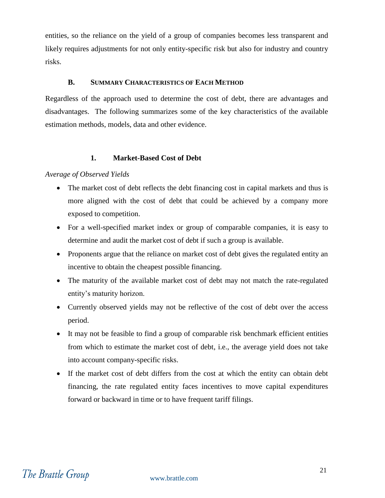entities, so the reliance on the yield of a group of companies becomes less transparent and likely requires adjustments for not only entity-specific risk but also for industry and country risks.

#### **B. SUMMARY CHARACTERISTICS OF EACH METHOD**

<span id="page-22-0"></span>Regardless of the approach used to determine the cost of debt, there are advantages and disadvantages. The following summarizes some of the key characteristics of the available estimation methods, models, data and other evidence.

#### **1. Market-Based Cost of Debt**

<span id="page-22-1"></span>*Average of Observed Yields*

- The market cost of debt reflects the debt financing cost in capital markets and thus is more aligned with the cost of debt that could be achieved by a company more exposed to competition.
- For a well-specified market index or group of comparable companies, it is easy to determine and audit the market cost of debt if such a group is available.
- Proponents argue that the reliance on market cost of debt gives the regulated entity an incentive to obtain the cheapest possible financing.
- The maturity of the available market cost of debt may not match the rate-regulated entity's maturity horizon.
- Currently observed yields may not be reflective of the cost of debt over the access period.
- It may not be feasible to find a group of comparable risk benchmark efficient entities from which to estimate the market cost of debt, i.e., the average yield does not take into account company-specific risks.
- If the market cost of debt differs from the cost at which the entity can obtain debt financing, the rate regulated entity faces incentives to move capital expenditures forward or backward in time or to have frequent tariff filings.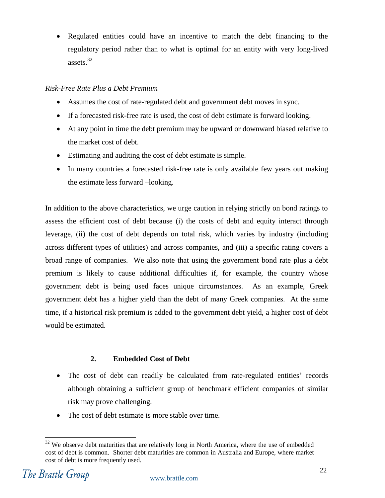Regulated entities could have an incentive to match the debt financing to the regulatory period rather than to what is optimal for an entity with very long-lived assets.<sup>32</sup>

#### *Risk-Free Rate Plus a Debt Premium*

- Assumes the cost of rate-regulated debt and government debt moves in sync.
- If a forecasted risk-free rate is used, the cost of debt estimate is forward looking.
- At any point in time the debt premium may be upward or downward biased relative to the market cost of debt.
- Estimating and auditing the cost of debt estimate is simple.
- In many countries a forecasted risk-free rate is only available few years out making the estimate less forward –looking.

In addition to the above characteristics, we urge caution in relying strictly on bond ratings to assess the efficient cost of debt because (i) the costs of debt and equity interact through leverage, (ii) the cost of debt depends on total risk, which varies by industry (including across different types of utilities) and across companies, and (iii) a specific rating covers a broad range of companies. We also note that using the government bond rate plus a debt premium is likely to cause additional difficulties if, for example, the country whose government debt is being used faces unique circumstances. As an example, Greek government debt has a higher yield than the debt of many Greek companies. At the same time, if a historical risk premium is added to the government debt yield, a higher cost of debt would be estimated.

#### **2. Embedded Cost of Debt**

- <span id="page-23-0"></span> The cost of debt can readily be calculated from rate-regulated entities' records although obtaining a sufficient group of benchmark efficient companies of similar risk may prove challenging.
- The cost of debt estimate is more stable over time.

 $\overline{a}$  $32$  We observe debt maturities that are relatively long in North America, where the use of embedded cost of debt is common. Shorter debt maturities are common in Australia and Europe, where market cost of debt is more frequently used.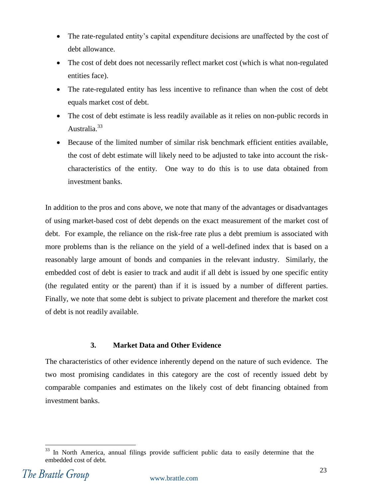- The rate-regulated entity's capital expenditure decisions are unaffected by the cost of debt allowance.
- The cost of debt does not necessarily reflect market cost (which is what non-regulated entities face).
- The rate-regulated entity has less incentive to refinance than when the cost of debt equals market cost of debt.
- The cost of debt estimate is less readily available as it relies on non-public records in Australia.<sup>33</sup>
- Because of the limited number of similar risk benchmark efficient entities available, the cost of debt estimate will likely need to be adjusted to take into account the riskcharacteristics of the entity. One way to do this is to use data obtained from investment banks.

In addition to the pros and cons above, we note that many of the advantages or disadvantages of using market-based cost of debt depends on the exact measurement of the market cost of debt. For example, the reliance on the risk-free rate plus a debt premium is associated with more problems than is the reliance on the yield of a well-defined index that is based on a reasonably large amount of bonds and companies in the relevant industry. Similarly, the embedded cost of debt is easier to track and audit if all debt is issued by one specific entity (the regulated entity or the parent) than if it is issued by a number of different parties. Finally, we note that some debt is subject to private placement and therefore the market cost of debt is not readily available.

#### **3. Market Data and Other Evidence**

<span id="page-24-0"></span>The characteristics of other evidence inherently depend on the nature of such evidence. The two most promising candidates in this category are the cost of recently issued debt by comparable companies and estimates on the likely cost of debt financing obtained from investment banks.

 $\overline{a}$ In North America, annual filings provide sufficient public data to easily determine that the embedded cost of debt.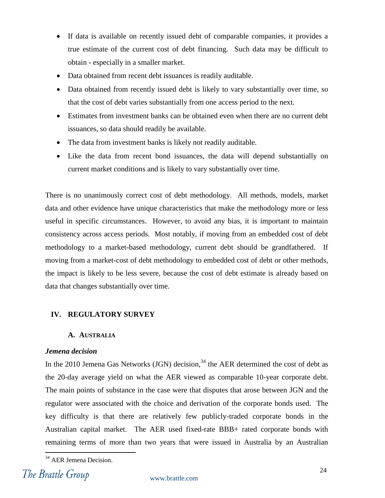- If data is available on recently issued debt of comparable companies, it provides a true estimate of the current cost of debt financing. Such data may be difficult to obtain - especially in a smaller market.
- Data obtained from recent debt issuances is readily auditable.
- Data obtained from recently issued debt is likely to vary substantially over time, so that the cost of debt varies substantially from one access period to the next.
- Estimates from investment banks can be obtained even when there are no current debt issuances, so data should readily be available.
- The data from investment banks is likely not readily auditable.
- Like the data from recent bond issuances, the data will depend substantially on current market conditions and is likely to vary substantially over time.

There is no unanimously correct cost of debt methodology. All methods, models, market data and other evidence have unique characteristics that make the methodology more or less useful in specific circumstances. However, to avoid any bias, it is important to maintain consistency across access periods. Most notably, if moving from an embedded cost of debt methodology to a market-based methodology, current debt should be grandfathered. If moving from a market-cost of debt methodology to embedded cost of debt or other methods, the impact is likely to be less severe, because the cost of debt estimate is already based on data that changes substantially over time.

#### <span id="page-25-0"></span>**IV. REGULATORY SURVEY**

#### **A. AUSTRALIA**

#### <span id="page-25-1"></span>*Jemena decision*

In the 2010 Jemena Gas Networks  $\left($ JGN $\right)$  decision,<sup>34</sup> the AER determined the cost of debt as the 20-day average yield on what the AER viewed as comparable 10-year corporate debt. The main points of substance in the case were that disputes that arose between JGN and the regulator were associated with the choice and derivation of the corporate bonds used. The key difficulty is that there are relatively few publicly-traded corporate bonds in the Australian capital market. The AER used fixed-rate BBB+ rated corporate bonds with remaining terms of more than two years that were issued in Australia by an Australian

 $\overline{a}$ <sup>34</sup> AER Jemena Decision.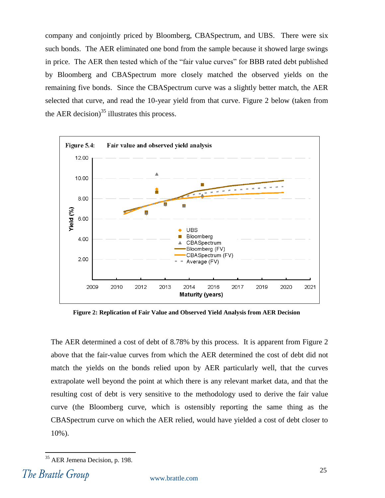company and conjointly priced by Bloomberg, CBASpectrum, and UBS. There were six such bonds. The AER eliminated one bond from the sample because it showed large swings in price. The AER then tested which of the "fair value curves" for BBB rated debt published by Bloomberg and CBASpectrum more closely matched the observed yields on the remaining five bonds. Since the CBASpectrum curve was a slightly better match, the AER selected that curve, and read the 10-year yield from that curve. [Figure 2](#page-26-0) below (taken from the AER decision) $35$  illustrates this process.



<span id="page-26-0"></span>**Figure 2: Replication of Fair Value and Observed Yield Analysis from AER Decision**

The AER determined a cost of debt of 8.78% by this process. It is apparent from [Figure 2](#page-26-0) above that the fair-value curves from which the AER determined the cost of debt did not match the yields on the bonds relied upon by AER particularly well, that the curves extrapolate well beyond the point at which there is any relevant market data, and that the resulting cost of debt is very sensitive to the methodology used to derive the fair value curve (the Bloomberg curve, which is ostensibly reporting the same thing as the CBASpectrum curve on which the AER relied, would have yielded a cost of debt closer to 10%).

<sup>35</sup> AER Jemena Decision, p. 198.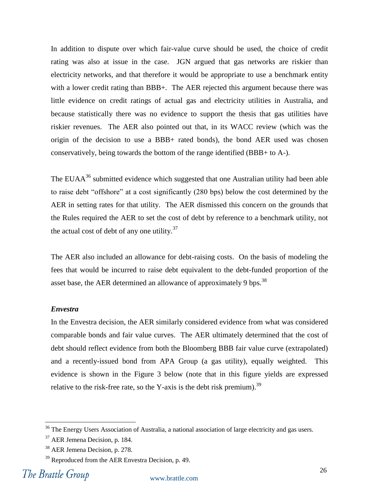In addition to dispute over which fair-value curve should be used, the choice of credit rating was also at issue in the case. JGN argued that gas networks are riskier than electricity networks, and that therefore it would be appropriate to use a benchmark entity with a lower credit rating than BBB+. The AER rejected this argument because there was little evidence on credit ratings of actual gas and electricity utilities in Australia, and because statistically there was no evidence to support the thesis that gas utilities have riskier revenues. The AER also pointed out that, in its WACC review (which was the origin of the decision to use a BBB+ rated bonds), the bond AER used was chosen conservatively, being towards the bottom of the range identified (BBB+ to A-).

The EUA $A^{36}$  submitted evidence which suggested that one Australian utility had been able to raise debt "offshore" at a cost significantly (280 bps) below the cost determined by the AER in setting rates for that utility. The AER dismissed this concern on the grounds that the Rules required the AER to set the cost of debt by reference to a benchmark utility, not the actual cost of debt of any one utility. $37$ 

The AER also included an allowance for debt-raising costs. On the basis of modeling the fees that would be incurred to raise debt equivalent to the debt-funded proportion of the asset base, the AER determined an allowance of approximately 9 bps.<sup>38</sup>

#### *Envestra*

In the Envestra decision, the AER similarly considered evidence from what was considered comparable bonds and fair value curves. The AER ultimately determined that the cost of debt should reflect evidence from both the Bloomberg BBB fair value curve (extrapolated) and a recently-issued bond from APA Group (a gas utility), equally weighted. This evidence is shown in the [Figure 3](#page-28-0) below (note that in this figure yields are expressed relative to the risk-free rate, so the Y-axis is the debt risk premium).<sup>39</sup>

 $36$  The Energy Users Association of Australia, a national association of large electricity and gas users.

<sup>37</sup> AER Jemena Decision, p. 184.

<sup>38</sup> AER Jemena Decision, p. 278.

<sup>&</sup>lt;sup>39</sup> Reproduced from the AER Envestra Decision, p. 49.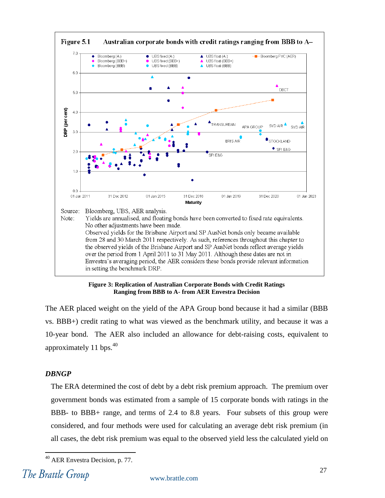

**Figure 3: Replication of Australian Corporate Bonds with Credit Ratings Ranging from BBB to A- from AER Envestra Decision**

<span id="page-28-0"></span>The AER placed weight on the yield of the APA Group bond because it had a similar (BBB vs. BBB+) credit rating to what was viewed as the benchmark utility, and because it was a 10-year bond. The AER also included an allowance for debt-raising costs, equivalent to approximately 11 bps.<sup>40</sup>

#### *DBNGP*

The ERA determined the cost of debt by a debt risk premium approach. The premium over government bonds was estimated from a sample of 15 corporate bonds with ratings in the BBB- to BBB+ range, and terms of 2.4 to 8.8 years. Four subsets of this group were considered, and four methods were used for calculating an average debt risk premium (in all cases, the debt risk premium was equal to the observed yield less the calculated yield on

<sup>40</sup> AER Envestra Decision, p. 77.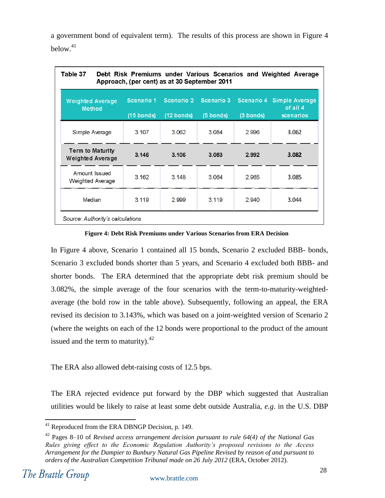a government bond of equivalent term). The results of this process are shown in [Figure 4](#page-29-0) below.<sup>41</sup>

| Table 37<br>Debt Risk Premiums under Various Scenarios and Weighted Average<br>Approach, (per cent) as at 30 September 2011 |                                    |                                    |                         |                         |                                         |  |  |
|-----------------------------------------------------------------------------------------------------------------------------|------------------------------------|------------------------------------|-------------------------|-------------------------|-----------------------------------------|--|--|
| <b>Weighted Average</b><br><b>Method</b>                                                                                    | Scenario 1<br>$(15 \text{ bonds})$ | Scenario 2<br>$(12 \text{ bonds})$ | Scenario 3<br>(5 bonds) | Scenario 4<br>(3 bonds) | Simple Average<br>of all 4<br>scenarios |  |  |
| Simple Average                                                                                                              | 3.107                              | 3.062                              | 3.084                   | 2.996                   | 3.062                                   |  |  |
| Term to Maturity<br><b>Weighted Average</b>                                                                                 | 3.146                              | 3.106                              | 3.083                   | 2.992                   | 3.082                                   |  |  |
| Amount Issued<br>Weighted Average                                                                                           | 3.162                              | 3.148                              | 3.064                   | 2.965                   | 3.085                                   |  |  |
| Median                                                                                                                      | 3.119                              | 2.999                              | 3.119                   | 2.940                   | 3.044                                   |  |  |
| Source: Authority's calculations                                                                                            |                                    |                                    |                         |                         |                                         |  |  |

#### **Figure 4: Debt Risk Premiums under Various Scenarios from ERA Decision**

<span id="page-29-0"></span>In [Figure 4](#page-29-0) above, Scenario 1 contained all 15 bonds, Scenario 2 excluded BBB- bonds, Scenario 3 excluded bonds shorter than 5 years, and Scenario 4 excluded both BBB- and shorter bonds. The ERA determined that the appropriate debt risk premium should be 3.082%, the simple average of the four scenarios with the term-to-maturity-weightedaverage (the bold row in the table above). Subsequently, following an appeal, the ERA revised its decision to 3.143%, which was based on a joint-weighted version of Scenario 2 (where the weights on each of the 12 bonds were proportional to the product of the amount issued and the term to maturity). $42$ 

The ERA also allowed debt-raising costs of 12.5 bps.

The ERA rejected evidence put forward by the DBP which suggested that Australian utilities would be likely to raise at least some debt outside Australia, *e.g*. in the U.S. DBP

 $\overline{a}$  $41$  Reproduced from the ERA DBNGP Decision, p. 149.

<sup>42</sup> Pages 8–10 of *Revised access arrangement decision pursuant to rule 64(4) of the National Gas Rules giving effect to the Economic Regulation Authority's proposed revisions to the Access Arrangement for the Dampier to Bunbury Natural Gas Pipeline Revised by reason of and pursuant to orders of the Australian Competition Tribunal made on 26 July 2012* (ERA, October 2012).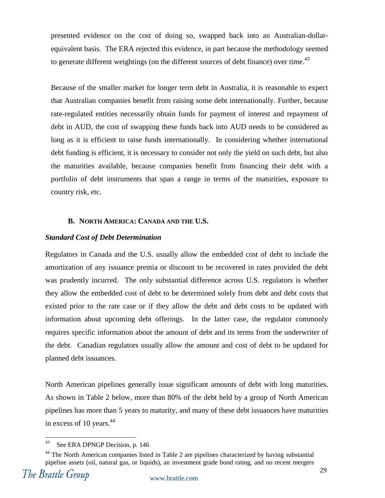presented evidence on the cost of doing so, swapped back into an Australian-dollarequivalent basis. The ERA rejected this evidence, in part because the methodology seemed to generate different weightings (on the different sources of debt finance) over time.<sup>43</sup>

Because of the smaller market for longer term debt in Australia, it is reasonable to expect that Australian companies benefit from raising some debt internationally. Further, because rate-regulated entities necessarily obtain funds for payment of interest and repayment of debt in AUD, the cost of swapping these funds back into AUD needs to be considered as long as it is efficient to raise funds internationally. In considering whether international debt funding is efficient, it is necessary to consider not only the yield on such debt, but also the maturities available, because companies benefit from financing their debt with a portfolio of debt instruments that span a range in terms of the maturities, exposure to country risk, etc.

#### **B. NORTH AMERICA: CANADA AND THE U.S.**

#### <span id="page-30-0"></span>*Standard Cost of Debt Determination*

Regulators in Canada and the U.S. usually allow the embedded cost of debt to include the amortization of any issuance premia or discount to be recovered in rates provided the debt was prudently incurred. The only substantial difference across U.S. regulators is whether they allow the embedded cost of debt to be determined solely from debt and debt costs that existed prior to the rate case or if they allow the debt and debt costs to be updated with information about upcoming debt offerings. In the latter case, the regulator commonly requires specific information about the amount of debt and its terms from the underwriter of the debt. Canadian regulators usually allow the amount and cost of debt to be updated for planned debt issuances.

North American pipelines generally issue significant amounts of debt with long maturities. As shown in [Table 2](#page-31-0) below, more than 80% of the debt held by a group of North American pipelines has more than 5 years to maturity, and many of these debt issuances have maturities in excess of 10 years. $44$ 

<sup>43</sup> See ERA DPNGP Decision, p. 146

 $44$  The North American companies listed in [Table 2](#page-31-0) are pipelines characterized by having substantial pipeline assets (oil, natural gas, or liquids), an investment grade bond rating, and no recent mergers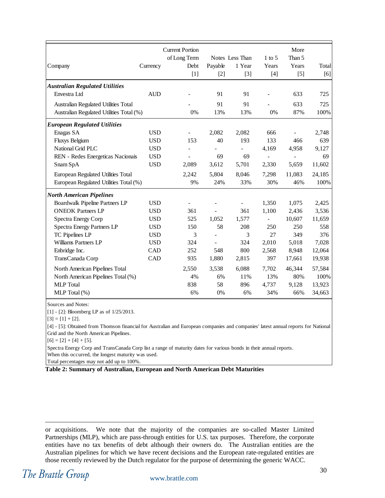|                                          |            | <b>Current Portion</b>   |         |                 |                          | More           |        |
|------------------------------------------|------------|--------------------------|---------|-----------------|--------------------------|----------------|--------|
|                                          |            | of Long Term             |         | Notes Less Than | $1$ to 5                 | Than 5         |        |
| Company                                  | Currency   | Debt                     | Payable | 1 Year          | Years                    | Years          | Total  |
|                                          |            | $[1]$                    | $[2]$   | $[3]$           | $[4]$                    | $[5]$          | [6]    |
| <b>Australian Regulated Utilities</b>    |            |                          |         |                 |                          |                |        |
| Envestra Ltd                             | <b>AUD</b> |                          | 91      | 91              |                          | 633            | 725    |
| Australian Regulated Utilities Total     |            |                          | 91      | 91              |                          | 633            | 725    |
| Australian Regulated Utilities Total (%) |            | 0%                       | 13%     | 13%             | 0%                       | 87%            | 100%   |
| <b>European Regulated Utilities</b>      |            |                          |         |                 |                          |                |        |
| Enagas SA                                | <b>USD</b> | $\overline{\phantom{a}}$ | 2,082   | 2,082           | 666                      |                | 2,748  |
| Fluxys Belgium                           | <b>USD</b> | 153                      | 40      | 193             | 133                      | 466            | 639    |
| National Grid PLC                        | <b>USD</b> |                          |         | $\overline{a}$  | 4,169                    | 4,958          | 9,127  |
| REN - Redes Energeticas Nacionais        | <b>USD</b> |                          | 69      | 69              |                          | $\overline{a}$ | 69     |
| Snam SpA                                 | <b>USD</b> | 2,089                    | 3,612   | 5,701           | 2,330                    | 5,659          | 11,602 |
| European Regulated Utilities Total       |            | 2,242                    | 5,804   | 8,046           | 7,298                    | 11,083         | 24,185 |
| European Regulated Utilities Total (%)   |            | 9%                       | 24%     | 33%             | 30%                      | 46%            | 100%   |
| <b>North American Pipelines</b>          |            |                          |         |                 |                          |                |        |
| Boardwalk Pipeline Partners LP           | <b>USD</b> | L,                       |         |                 | 1,350                    | 1,075          | 2,425  |
| <b>ONEOK Partners LP</b>                 | <b>USD</b> | 361                      |         | 361             | 1,100                    | 2,436          | 3,536  |
| Spectra Energy Corp                      | <b>USD</b> | 525                      | 1,052   | 1,577           | $\overline{\phantom{0}}$ | 10,607         | 11,659 |
| Spectra Energy Partners LP               | <b>USD</b> | 150                      | 58      | 208             | 250                      | 250            | 558    |
| TC Pipelines LP                          | <b>USD</b> | 3                        |         | 3               | 27                       | 349            | 376    |
| Williams Partners LP                     | <b>USD</b> | 324                      |         | 324             | 2,010                    | 5,018          | 7,028  |
| Enbridge Inc.                            | CAD        | 252                      | 548     | 800             | 2,568                    | 8,948          | 12,064 |
| TransCanada Corp                         | CAD        | 935                      | 1,880   | 2,815           | 397                      | 17,661         | 19,938 |
| North American Pipelines Total           |            | 2,550                    | 3,538   | 6,088           | 7,702                    | 46,344         | 57,584 |
| North American Pipelines Total (%)       |            | 4%                       | 6%      | 11%             | 13%                      | 80%            | 100%   |
| <b>MLP</b> Total                         |            | 838                      | 58      | 896             | 4,737                    | 9,128          | 13,923 |
| MLP Total (%)                            |            | 6%                       | 0%      | 6%              | 34%                      | 66%            | 34,663 |

Sources and Notes:

[1] - [2]: Bloomberg LP as of 1/25/2013.

 $[3] = [1] + [2].$ 

[4] - [5]: Obtained from Thomson financial for Australian and European companies and companies' latest annual reports for National Grid and the North American Pipelines.

 $[6] = [2] + [4] + [5].$ 

Spectra Energy Corp and TransCanada Corp list a range of maturity dates for various bonds in their annual reports.

When this occurred, the longest maturity was used.

Total percentages may not add up to 100%.

<span id="page-31-0"></span>**Table 2: Summary of Australian, European and North American Debt Maturities**

or acquisitions. We note that the majority of the companies are so-called Master Limited Partnerships (MLP), which are pass-through entities for U.S. tax purposes. Therefore, the corporate entities have no tax benefits of debt although their owners do. The Australian entities are the Australian pipelines for which we have recent decisions and the European rate-regulated entities are those recently reviewed by the Dutch regulator for the purpose of determining the generic WACC.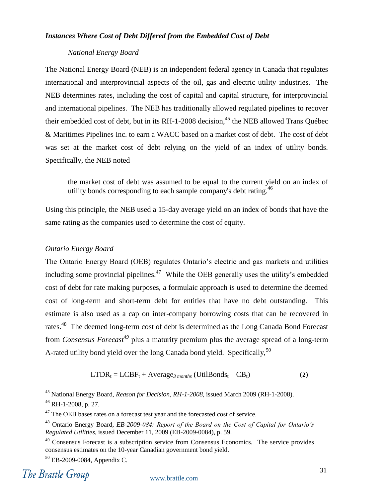#### *Instances Where Cost of Debt Differed from the Embedded Cost of Debt*

#### *National Energy Board*

The National Energy Board (NEB) is an independent federal agency in Canada that regulates international and interprovincial aspects of the oil, gas and electric utility industries. The NEB determines rates, including the cost of capital and capital structure, for interprovincial and international pipelines. The NEB has traditionally allowed regulated pipelines to recover their embedded cost of debt, but in its  $RH-1-2008$  decision,  $45$  the NEB allowed Trans Québec & Maritimes Pipelines Inc. to earn a WACC based on a market cost of debt. The cost of debt was set at the market cost of debt relying on the yield of an index of utility bonds. Specifically, the NEB noted

the market cost of debt was assumed to be equal to the current yield on an index of utility bonds corresponding to each sample company's debt rating.<sup>46</sup>

Using this principle, the NEB used a 15-day average yield on an index of bonds that have the same rating as the companies used to determine the cost of equity.

#### *Ontario Energy Board*

The Ontario Energy Board (OEB) regulates Ontario's electric and gas markets and utilities including some provincial pipelines.<sup>47</sup> While the OEB generally uses the utility's embedded cost of debt for rate making purposes, a formulaic approach is used to determine the deemed cost of long-term and short-term debt for entities that have no debt outstanding. This estimate is also used as a cap on inter-company borrowing costs that can be recovered in rates.<sup>48</sup> The deemed long-term cost of debt is determined as the Long Canada Bond Forecast from *Consensus Forecast<sup>49</sup>* plus a maturity premium plus the average spread of a long-term A-rated utility bond yield over the long Canada bond yield. Specifically,  $50$ 

$$
LTDR_t = LCBF_t + Average_{3\, months} (UtilBonds_t - CB_t)
$$
 (2)

<sup>45</sup> National Energy Board, *Reason for Decision, RH-1-2008*, issued March 2009 (RH-1-2008).

 $46$  RH-1-2008, p. 27.

 $47$  The OEB bases rates on a forecast test year and the forecasted cost of service.

<sup>48</sup> Ontario Energy Board, *EB-2009-084: Report of the Board on the Cost of Capital for Ontario's Regulated Utilities*, issued December 11, 2009 (EB-2009-0084), p. 59.

<sup>&</sup>lt;sup>49</sup> Consensus Forecast is a subscription service from Consensus Economics. The service provides consensus estimates on the 10-year Canadian government bond yield.

<sup>50</sup> EB-2009-0084, Appendix C.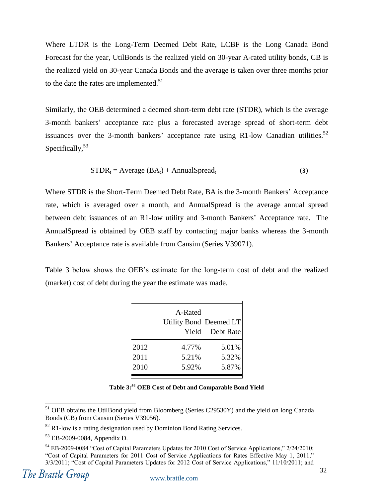Where LTDR is the Long-Term Deemed Debt Rate, LCBF is the Long Canada Bond Forecast for the year, UtilBonds is the realized yield on 30-year A-rated utility bonds, CB is the realized yield on 30-year Canada Bonds and the average is taken over three months prior to the date the rates are implemented. $51$ 

Similarly, the OEB determined a deemed short-term debt rate (STDR), which is the average 3-month bankers' acceptance rate plus a forecasted average spread of short-term debt issuances over the 3-month bankers' acceptance rate using R1-low Canadian utilities.<sup>52</sup> Specifically,  $53$ 

$$
STDR_t = Average (BA_t) + AnnualSpread_t
$$
 (3)

Where STDR is the Short-Term Deemed Debt Rate, BA is the 3-month Bankers' Acceptance rate, which is averaged over a month, and AnnualSpread is the average annual spread between debt issuances of an R1-low utility and 3-month Bankers' Acceptance rate. The AnnualSpread is obtained by OEB staff by contacting major banks whereas the 3-month Bankers' Acceptance rate is available from Cansim (Series V39071).

[Table 3](#page-33-0) below shows the OEB's estimate for the long-term cost of debt and the realized (market) cost of debt during the year the estimate was made.

|                                                                                                                                                                                                                                                                                                                                   |      | A-Rated<br>Utility Bond Deemed LT<br>Yield                        | Debt Rate |  |
|-----------------------------------------------------------------------------------------------------------------------------------------------------------------------------------------------------------------------------------------------------------------------------------------------------------------------------------|------|-------------------------------------------------------------------|-----------|--|
|                                                                                                                                                                                                                                                                                                                                   | 2012 | 4.77%                                                             | 5.01%     |  |
|                                                                                                                                                                                                                                                                                                                                   | 2011 | 5.21%                                                             | 5.32%     |  |
|                                                                                                                                                                                                                                                                                                                                   | 2010 | 5.92%                                                             | 5.87%     |  |
|                                                                                                                                                                                                                                                                                                                                   |      | Table 3: <sup>54</sup> OEB Cost of Debt and Comparable Bond Yield |           |  |
| <sup>51</sup> OEB obtains the UtilBond yield from Bloomberg (Series C29530Y) and the yield on long Canada<br>Bonds (CB) from Cansim (Series V39056).                                                                                                                                                                              |      |                                                                   |           |  |
| $52$ R1-low is a rating designation used by Dominion Bond Rating Services.                                                                                                                                                                                                                                                        |      |                                                                   |           |  |
| $53$ EB-2009-0084, Appendix D.                                                                                                                                                                                                                                                                                                    |      |                                                                   |           |  |
| <sup>54</sup> EB-2009-0084 "Cost of Capital Parameters Updates for 2010 Cost of Service Applications," 2/24/2010;<br>"Cost of Capital Parameters for 2011 Cost of Service Applications for Rates Effective May 1, 2011,"<br>3/3/2011; "Cost of Capital Parameters Updates for 2012 Cost of Service Applications," 11/10/2011; and |      |                                                                   |           |  |

**Table 3: <sup>54</sup> OEB Cost of Debt and Comparable Bond Yield**

<span id="page-33-0"></span><sup>&</sup>lt;sup>51</sup> OEB obtains the UtilBond yield from Bloomberg (Series C29530Y) and the yield on long Canada Bonds (CB) from Cansim (Series V39056).

 $52$  R1-low is a rating designation used by Dominion Bond Rating Services.

<sup>53</sup> EB-2009-0084, Appendix D.

 $54$  EB-2009-0084 "Cost of Capital Parameters Updates for 2010 Cost of Service Applications,"  $2/24/2010$ ; "Cost of Capital Parameters for 2011 Cost of Service Applications for Rates Effective May 1, 2011,"<br>3/3/2011; "Cost of Capital Parameters Updates for 2012 Cost of Service Applications," 11/10/2011; and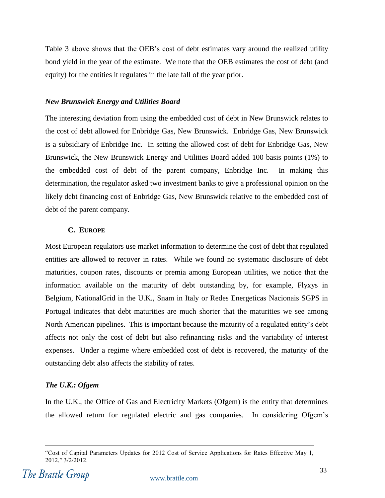[Table 3](#page-33-0) above shows that the OEB's cost of debt estimates vary around the realized utility bond yield in the year of the estimate. We note that the OEB estimates the cost of debt (and equity) for the entities it regulates in the late fall of the year prior.

#### *New Brunswick Energy and Utilities Board*

The interesting deviation from using the embedded cost of debt in New Brunswick relates to the cost of debt allowed for Enbridge Gas, New Brunswick. Enbridge Gas, New Brunswick is a subsidiary of Enbridge Inc. In setting the allowed cost of debt for Enbridge Gas, New Brunswick, the New Brunswick Energy and Utilities Board added 100 basis points (1%) to the embedded cost of debt of the parent company, Enbridge Inc. In making this determination, the regulator asked two investment banks to give a professional opinion on the likely debt financing cost of Enbridge Gas, New Brunswick relative to the embedded cost of debt of the parent company.

#### **C. EUROPE**

<span id="page-34-0"></span>Most European regulators use market information to determine the cost of debt that regulated entities are allowed to recover in rates. While we found no systematic disclosure of debt maturities, coupon rates, discounts or premia among European utilities, we notice that the information available on the maturity of debt outstanding by, for example, Flyxys in Belgium, NationalGrid in the U.K., Snam in Italy or Redes Energeticas Nacionais SGPS in Portugal indicates that debt maturities are much shorter that the maturities we see among North American pipelines. This is important because the maturity of a regulated entity's debt affects not only the cost of debt but also refinancing risks and the variability of interest expenses. Under a regime where embedded cost of debt is recovered, the maturity of the outstanding debt also affects the stability of rates.

#### *The U.K.: Ofgem*

In the U.K., the Office of Gas and Electricity Markets (Ofgem) is the entity that determines the allowed return for regulated electric and gas companies. In considering Ofgem's

<sup>―</sup>Cost of Capital Parameters Updates for 2012 Cost of Service Applications for Rates Effective May 1,  $2012$ ,"  $3/2/2012$ .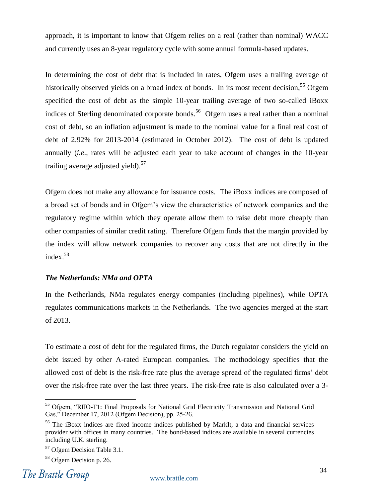approach, it is important to know that Ofgem relies on a real (rather than nominal) WACC and currently uses an 8-year regulatory cycle with some annual formula-based updates.

In determining the cost of debt that is included in rates, Ofgem uses a trailing average of historically observed yields on a broad index of bonds. In its most recent decision,<sup>55</sup> Ofgem specified the cost of debt as the simple 10-year trailing average of two so-called iBoxx indices of Sterling denominated corporate bonds.<sup>56</sup> Ofgem uses a real rather than a nominal cost of debt, so an inflation adjustment is made to the nominal value for a final real cost of debt of 2.92% for 2013-2014 (estimated in October 2012). The cost of debt is updated annually (*i.e*., rates will be adjusted each year to take account of changes in the 10-year trailing average adjusted yield).<sup>57</sup>

Ofgem does not make any allowance for issuance costs. The iBoxx indices are composed of a broad set of bonds and in Ofgem's view the characteristics of network companies and the regulatory regime within which they operate allow them to raise debt more cheaply than other companies of similar credit rating. Therefore Ofgem finds that the margin provided by the index will allow network companies to recover any costs that are not directly in the index.<sup>58</sup>

#### *The Netherlands: NMa and OPTA*

In the Netherlands, NMa regulates energy companies (including pipelines), while OPTA regulates communications markets in the Netherlands. The two agencies merged at the start of 2013.

To estimate a cost of debt for the regulated firms, the Dutch regulator considers the yield on debt issued by other A-rated European companies. The methodology specifies that the allowed cost of debt is the risk-free rate plus the average spread of the regulated firms' debt over the risk-free rate over the last three years. The risk-free rate is also calculated over a 3-

<sup>&</sup>lt;sup>55</sup> Ofgem, "RIIO-T1: Final Proposals for National Grid Electricity Transmission and National Grid Gas," December 17, 2012 (Ofgem Decision), pp. 25-26.

<sup>&</sup>lt;sup>56</sup> The iBoxx indices are fixed income indices published by MarkIt, a data and financial services provider with offices in many countries. The bond-based indices are available in several currencies including U.K. sterling.

<sup>57</sup> Ofgem Decision Table 3.1.

<sup>58</sup> Ofgem Decision p. 26.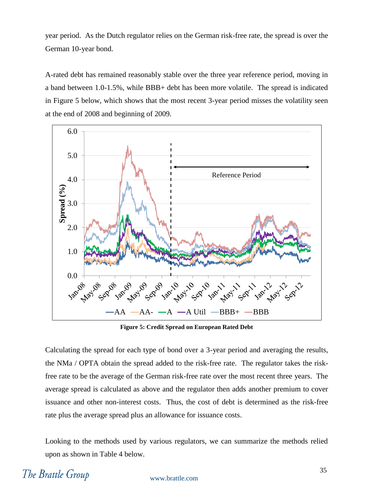year period. As the Dutch regulator relies on the German risk-free rate, the spread is over the German 10-year bond.

A-rated debt has remained reasonably stable over the three year reference period, moving in a band between 1.0-1.5%, while BBB+ debt has been more volatile. The spread is indicated in [Figure 5](#page-36-0) below, which shows that the most recent 3-year period misses the volatility seen at the end of 2008 and beginning of 2009.



**Figure 5: Credit Spread on European Rated Debt**

<span id="page-36-0"></span>Calculating the spread for each type of bond over a 3-year period and averaging the results, the NMa / OPTA obtain the spread added to the risk-free rate. The regulator takes the riskfree rate to be the average of the German risk-free rate over the most recent three years. The average spread is calculated as above and the regulator then adds another premium to cover issuance and other non-interest costs. Thus, the cost of debt is determined as the risk-free rate plus the average spread plus an allowance for issuance costs.

Looking to the methods used by various regulators, we can summarize the methods relied upon as shown in [Table 4](#page-37-2) below.

# The Brattle Group

#### www.brattle.com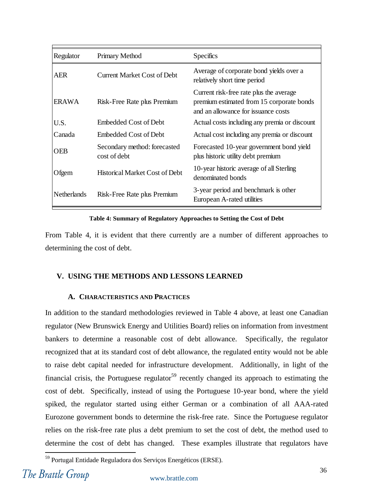| Regulator          | Primary Method                               | <b>Specifics</b>                                                                                                            |
|--------------------|----------------------------------------------|-----------------------------------------------------------------------------------------------------------------------------|
| <b>AER</b>         | <b>Current Market Cost of Debt</b>           | Average of corporate bond yields over a<br>relatively short time period                                                     |
| <b>ERAWA</b>       | Risk-Free Rate plus Premium                  | Current risk-free rate plus the average<br>premium estimated from 15 corporate bonds<br>and an allowance for issuance costs |
| U.S.               | <b>Embedded Cost of Debt</b>                 | Actual costs including any premia or discount                                                                               |
| Canada             | Embedded Cost of Debt                        | Actual cost including any premia or discount                                                                                |
| <b>OEB</b>         | Secondary method: forecasted<br>cost of debt | Forecasted 10-year government bond yield<br>plus historic utility debt premium                                              |
| Ofgem              | <b>Historical Market Cost of Debt</b>        | 10-year historic average of all Sterling<br>denominated bonds                                                               |
| <b>Netherlands</b> | Risk-Free Rate plus Premium                  | 3-year period and benchmark is other<br>European A-rated utilities                                                          |

**Table 4: Summary of Regulatory Approaches to Setting the Cost of Debt**

<span id="page-37-2"></span>From [Table 4,](#page-37-2) it is evident that there currently are a number of different approaches to determining the cost of debt.

#### <span id="page-37-0"></span>**V. USING THE METHODS AND LESSONS LEARNED**

#### **A. CHARACTERISTICS AND PRACTICES**

<span id="page-37-1"></span>In addition to the standard methodologies reviewed in [Table 4](#page-37-2) above, at least one Canadian regulator (New Brunswick Energy and Utilities Board) relies on information from investment bankers to determine a reasonable cost of debt allowance. Specifically, the regulator recognized that at its standard cost of debt allowance, the regulated entity would not be able to raise debt capital needed for infrastructure development. Additionally, in light of the financial crisis, the Portuguese regulator<sup>59</sup> recently changed its approach to estimating the cost of debt. Specifically, instead of using the Portuguese 10-year bond, where the yield spiked, the regulator started using either German or a combination of all AAA-rated Eurozone government bonds to determine the risk-free rate. Since the Portuguese regulator relies on the risk-free rate plus a debt premium to set the cost of debt, the method used to determine the cost of debt has changed. These examples illustrate that regulators have  $\overline{a}$ 

<sup>59</sup> Portugal Entidade Reguladora dos Serviços Energéticos (ERSE).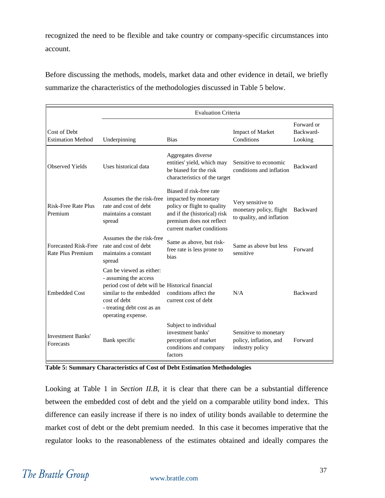recognized the need to be flexible and take country or company-specific circumstances into account.

Before discussing the methods, models, market data and other evidence in detail, we briefly summarize the characteristics of the methodologies discussed in Table 5 below.

|                                                  | <b>Evaluation Criteria</b>                                                                                                                                                                           |                                                                                                                                                                          |                                                                           |                                    |  |
|--------------------------------------------------|------------------------------------------------------------------------------------------------------------------------------------------------------------------------------------------------------|--------------------------------------------------------------------------------------------------------------------------------------------------------------------------|---------------------------------------------------------------------------|------------------------------------|--|
| Cost of Debt<br><b>Estimation Method</b>         | Underpinning                                                                                                                                                                                         | <b>Bias</b>                                                                                                                                                              | <b>Impact of Market</b><br>Conditions                                     | Forward or<br>Backward-<br>Looking |  |
| <b>Observed Yields</b>                           | Uses historical data                                                                                                                                                                                 | Aggregates diverse<br>entities' yield, which may<br>be biased for the risk<br>characteristics of the target                                                              | Sensitive to economic<br>conditions and inflation                         | <b>Backward</b>                    |  |
| <b>Risk-Free Rate Plus</b><br>Premium            | Assumes the the risk-free<br>rate and cost of debt<br>maintains a constant<br>spread                                                                                                                 | Biased if risk-free rate<br>impacted by monetary<br>policy or flight to quality<br>and if the (historical) risk<br>premium does not reflect<br>current market conditions | Very sensitive to<br>monetary policy, flight<br>to quality, and inflation | <b>Backward</b>                    |  |
| <b>Forecasted Risk-Free</b><br>Rate Plus Premium | Assumes the the risk-free<br>rate and cost of debt<br>maintains a constant<br>spread                                                                                                                 | Same as above, but risk-<br>free rate is less prone to<br>bias                                                                                                           | Same as above but less<br>sensitive                                       | Forward                            |  |
| <b>Embedded Cost</b>                             | Can be viewed as either:<br>- assuming the access<br>period cost of debt will be Historical financial<br>similar to the embedded<br>cost of debt<br>- treating debt cost as an<br>operating expense. | conditions affect the<br>current cost of debt                                                                                                                            | N/A                                                                       | <b>Backward</b>                    |  |
| <b>Investment Banks'</b><br>Forecasts            | Bank specific                                                                                                                                                                                        | Subject to individual<br>investment banks'<br>perception of market<br>conditions and company<br>factors                                                                  | Sensitive to monetary<br>policy, inflation, and<br>industry policy        | Forward                            |  |

**Table 5: Summary Characteristics of Cost of Debt Estimation Methodologies**

Looking at [Table 1](#page-18-0) in *Section II.B*, it is clear that there can be a substantial difference between the embedded cost of debt and the yield on a comparable utility bond index. This difference can easily increase if there is no index of utility bonds available to determine the market cost of debt or the debt premium needed. In this case it becomes imperative that the regulator looks to the reasonableness of the estimates obtained and ideally compares the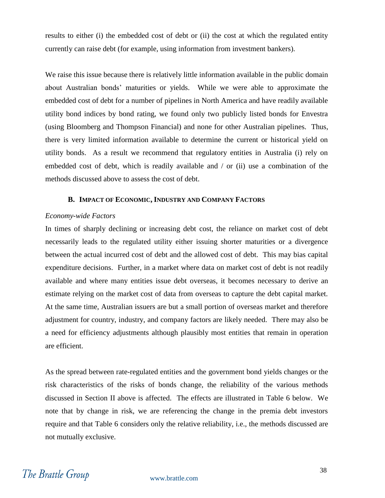results to either (i) the embedded cost of debt or (ii) the cost at which the regulated entity currently can raise debt (for example, using information from investment bankers).

We raise this issue because there is relatively little information available in the public domain about Australian bonds' maturities or yields. While we were able to approximate the embedded cost of debt for a number of pipelines in North America and have readily available utility bond indices by bond rating, we found only two publicly listed bonds for Envestra (using Bloomberg and Thompson Financial) and none for other Australian pipelines. Thus, there is very limited information available to determine the current or historical yield on utility bonds. As a result we recommend that regulatory entities in Australia (i) rely on embedded cost of debt, which is readily available and / or (ii) use a combination of the methods discussed above to assess the cost of debt.

#### **B. IMPACT OF ECONOMIC, INDUSTRY AND COMPANY FACTORS**

#### <span id="page-39-0"></span>*Economy-wide Factors*

In times of sharply declining or increasing debt cost, the reliance on market cost of debt necessarily leads to the regulated utility either issuing shorter maturities or a divergence between the actual incurred cost of debt and the allowed cost of debt. This may bias capital expenditure decisions. Further, in a market where data on market cost of debt is not readily available and where many entities issue debt overseas, it becomes necessary to derive an estimate relying on the market cost of data from overseas to capture the debt capital market. At the same time, Australian issuers are but a small portion of overseas market and therefore adjustment for country, industry, and company factors are likely needed. There may also be a need for efficiency adjustments although plausibly most entities that remain in operation are efficient.

As the spread between rate-regulated entities and the government bond yields changes or the risk characteristics of the risks of bonds change, the reliability of the various methods discussed in Section II above is affected. The effects are illustrated in [Table 6](#page-40-0) below. We note that by change in risk, we are referencing the change in the premia debt investors require and that [Table 6](#page-40-0) considers only the relative reliability, i.e., the methods discussed are not mutually exclusive.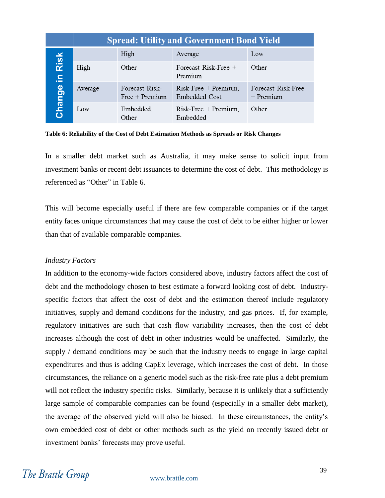|             | <b>Spread: Utility and Government Bond Yield</b> |                                    |                                                |                                   |  |  |  |  |
|-------------|--------------------------------------------------|------------------------------------|------------------------------------------------|-----------------------------------|--|--|--|--|
|             |                                                  | High                               | Average                                        | Low                               |  |  |  |  |
| Risk<br>le, | High                                             | Other                              | Forecast Risk-Free +<br>Premium                | Other                             |  |  |  |  |
| Change      | Average                                          | Forecast Risk-<br>$Free + Premium$ | $Risk\text{-}Free + Premium,$<br>Embedded Cost | Forecast Risk-Free<br>$+$ Premium |  |  |  |  |
|             | Low                                              | Embedded,<br>Other                 | $Risk\text{-}Free + Premium,$<br>Embedded      | Other                             |  |  |  |  |

<span id="page-40-0"></span>**Table 6: Reliability of the Cost of Debt Estimation Methods as Spreads or Risk Changes**

In a smaller debt market such as Australia, it may make sense to solicit input from investment banks or recent debt issuances to determine the cost of debt. This methodology is referenced as "Other" in [Table 6.](#page-40-0)

This will become especially useful if there are few comparable companies or if the target entity faces unique circumstances that may cause the cost of debt to be either higher or lower than that of available comparable companies.

#### *Industry Factors*

In addition to the economy-wide factors considered above, industry factors affect the cost of debt and the methodology chosen to best estimate a forward looking cost of debt. Industryspecific factors that affect the cost of debt and the estimation thereof include regulatory initiatives, supply and demand conditions for the industry, and gas prices. If, for example, regulatory initiatives are such that cash flow variability increases, then the cost of debt increases although the cost of debt in other industries would be unaffected. Similarly, the supply / demand conditions may be such that the industry needs to engage in large capital expenditures and thus is adding CapEx leverage, which increases the cost of debt. In those circumstances, the reliance on a generic model such as the risk-free rate plus a debt premium will not reflect the industry specific risks. Similarly, because it is unlikely that a sufficiently large sample of comparable companies can be found (especially in a smaller debt market), the average of the observed yield will also be biased. In these circumstances, the entity's own embedded cost of debt or other methods such as the yield on recently issued debt or investment banks' forecasts may prove useful.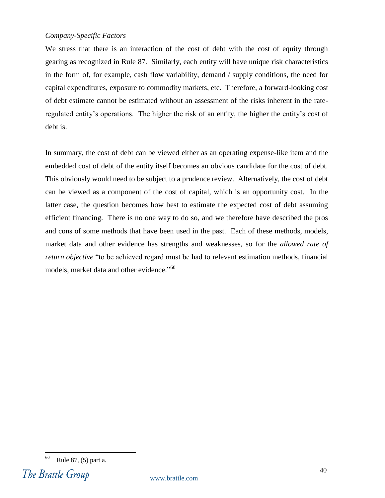#### *Company-Specific Factors*

We stress that there is an interaction of the cost of debt with the cost of equity through gearing as recognized in Rule 87. Similarly, each entity will have unique risk characteristics in the form of, for example, cash flow variability, demand / supply conditions, the need for capital expenditures, exposure to commodity markets, etc. Therefore, a forward-looking cost of debt estimate cannot be estimated without an assessment of the risks inherent in the rateregulated entity's operations. The higher the risk of an entity, the higher the entity's cost of debt is.

In summary, the cost of debt can be viewed either as an operating expense-like item and the embedded cost of debt of the entity itself becomes an obvious candidate for the cost of debt. This obviously would need to be subject to a prudence review. Alternatively, the cost of debt can be viewed as a component of the cost of capital, which is an opportunity cost. In the latter case, the question becomes how best to estimate the expected cost of debt assuming efficient financing. There is no one way to do so, and we therefore have described the pros and cons of some methods that have been used in the past. Each of these methods, models, market data and other evidence has strengths and weaknesses, so for the *allowed rate of return objective* "to be achieved regard must be had to relevant estimation methods, financial models, market data and other evidence."<sup>60</sup>

 $\overline{a}$  $60$  Rule 87, (5) part a.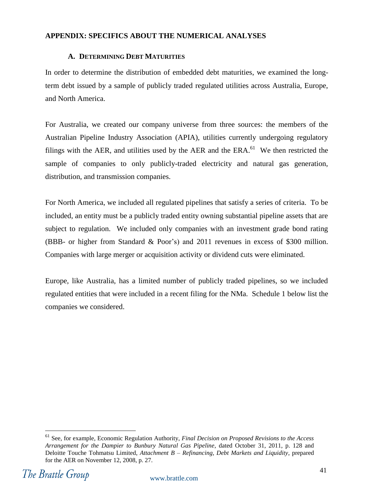#### <span id="page-42-0"></span>**APPENDIX: SPECIFICS ABOUT THE NUMERICAL ANALYSES**

#### **A. DETERMINING DEBT MATURITIES**

<span id="page-42-1"></span>In order to determine the distribution of embedded debt maturities, we examined the longterm debt issued by a sample of publicly traded regulated utilities across Australia, Europe, and North America.

For Australia, we created our company universe from three sources: the members of the Australian Pipeline Industry Association (APIA), utilities currently undergoing regulatory filings with the AER, and utilities used by the AER and the  $ERA$ .<sup>61</sup> We then restricted the sample of companies to only publicly-traded electricity and natural gas generation, distribution, and transmission companies.

For North America, we included all regulated pipelines that satisfy a series of criteria. To be included, an entity must be a publicly traded entity owning substantial pipeline assets that are subject to regulation. We included only companies with an investment grade bond rating (BBB- or higher from Standard & Poor's) and 2011 revenues in excess of \$300 million. Companies with large merger or acquisition activity or dividend cuts were eliminated.

Europe, like Australia, has a limited number of publicly traded pipelines, so we included regulated entities that were included in a recent filing for the NMa. Schedule 1 below list the companies we considered.

 $\overline{a}$ <sup>61</sup> See, for example, Economic Regulation Authority, *Final Decision on Proposed Revisions to the Access Arrangement for the Dampier to Bunbury Natural Gas Pipeline*, dated October 31, 2011, p. 128 and Deloitte Touche Tohmatsu Limited, *Attachment B – Refinancing, Debt Markets and Liquidity*, prepared for the AER on November 12, 2008, p. 27.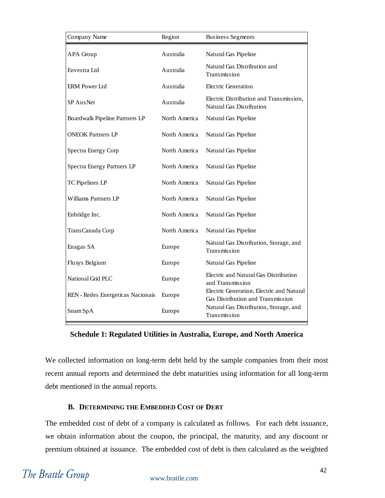| Company Name                      | Region        | <b>Business Segments</b>                                                       |
|-----------------------------------|---------------|--------------------------------------------------------------------------------|
| APA Group                         | Australia     | Natural Gas Pipeline                                                           |
| Envestra Ltd                      | Australia     | Natural Gas Distribution and<br>Transmission                                   |
| ERM Power Ltd                     | Australia     | Electric Generation                                                            |
| SP AusNet                         | Australia     | Electric Distribution and Transmission,<br>Natural Gas Distribution            |
| Boardwalk Pipeline Partners LP    | North America | Natural Gas Pipeline                                                           |
| <b>ONEOK Partners LP</b>          | North America | Natural Gas Pipeline                                                           |
| Spectra Energy Corp               | North America | Natural Gas Pipeline                                                           |
| Spectra Energy Partners LP        | North America | Natural Gas Pipeline                                                           |
| TC Pipelines LP                   | North America | Natural Gas Pipeline                                                           |
| Williams Partners LP              | North America | Natural Gas Pipeline                                                           |
| Enbridge Inc.                     | North America | Natural Gas Pipeline                                                           |
| TransCanada Corp                  | North America | Natural Gas Pipeline                                                           |
| Enagas SA                         | Europe        | Natural Gas Distribution, Storage, and<br>Transmission                         |
| Fluxys Belgium                    | Europe        | Natural Gas Pipeline                                                           |
| National Grid PLC                 | Europe        | Electric and Natural Gas Distribution<br>and Transmission                      |
| REN - Redes Energeticas Nacionais | Europe        | Electric Generation, Electric and Natural<br>Gas Distribution and Transmission |
| Snam SpA                          | Europe        | Natural Gas Distribution, Storage, and<br>Transmission                         |

**Schedule 1: Regulated Utilities in Australia, Europe, and North America**

We collected information on long-term debt held by the sample companies from their most recent annual reports and determined the debt maturities using information for all long-term debt mentioned in the annual reports.

#### **B. DETERMINING THE EMBEDDED COST OF DEBT**

<span id="page-43-0"></span>The embedded cost of debt of a company is calculated as follows. For each debt issuance, we obtain information about the coupon, the principal, the maturity, and any discount or premium obtained at issuance. The embedded cost of debt is then calculated as the weighted